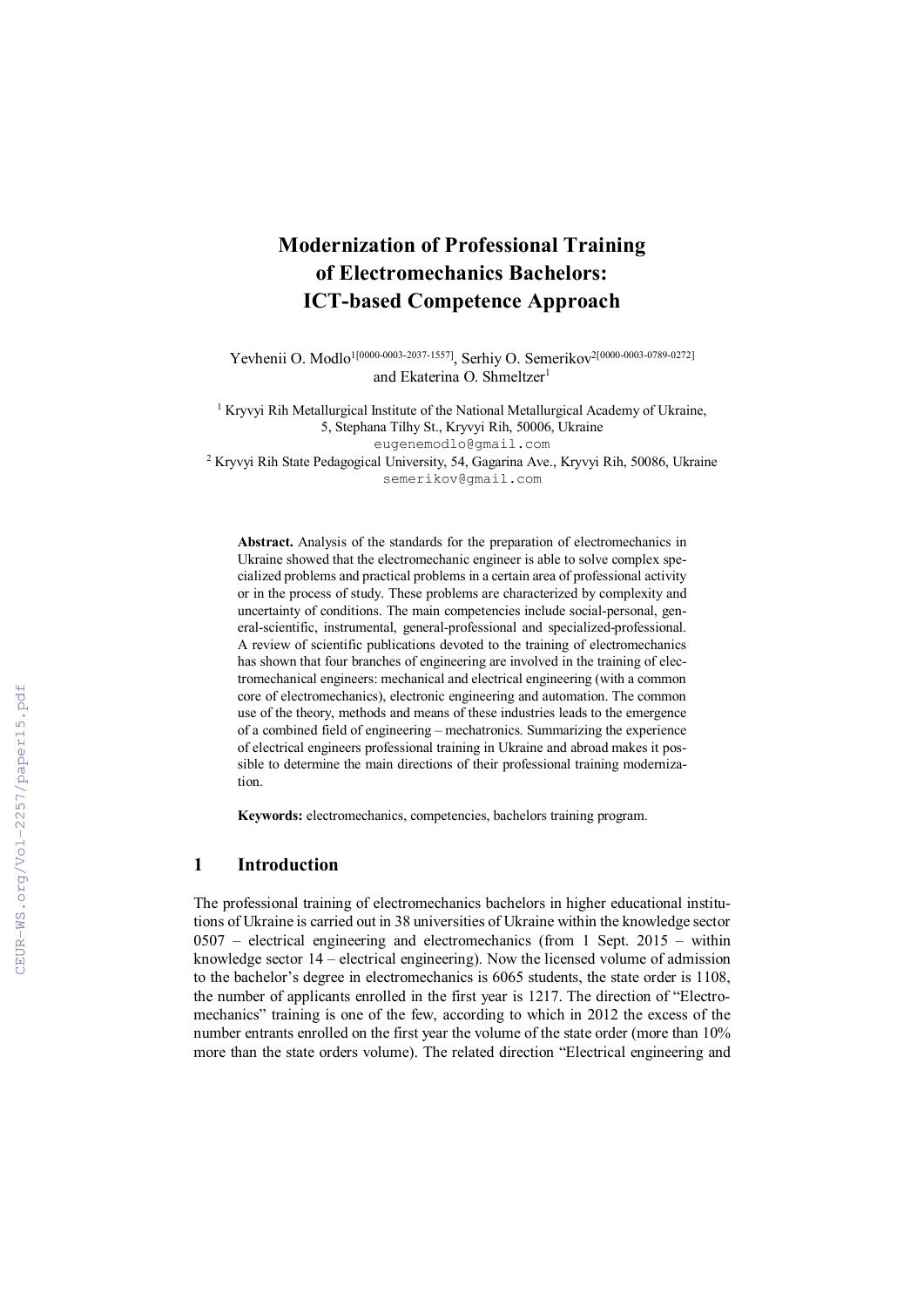# Modernization of Professional Training of Electromechanics Bachelors: ICT-based Competence Approach

Yevhenii O. Modlo<sup>1[0000-0003-2037-1557]</sup>, Serhiy O. Semerikov<sup>2[0000-0003-0789-0272]</sup> and Ekaterina O. Shmeltzer<sup>1</sup>

<sup>1</sup> Kryvyi Rih Metallurgical Institute of the National Metallurgical Academy of Ukraine, 5, Stephana Tilhy St., Kryvyi Rih, 50006, Ukraine eugenemodlo@gmail.com 2 Kryvyi Rih State Pedagogical University, 54, Gagarina Ave., Kryvyi Rih, 50086, Ukraine semerikov@gmail.com

Abstract. Analysis of the standards for the preparation of electromechanics in Ukraine showed that the electromechanic engineer is able to solve complex specialized problems and practical problems in a certain area of professional activity or in the process of study. These problems are characterized by complexity and uncertainty of conditions. The main competencies include social-personal, general-scientific, instrumental, general-professional and specialized-professional. A review of scientific publications devoted to the training of electromechanics has shown that four branches of engineering are involved in the training of electromechanical engineers: mechanical and electrical engineering (with a common core of electromechanics), electronic engineering and automation. The common use of the theory, methods and means of these industries leads to the emergence of a combined field of engineering – mechatronics. Summarizing the experience of electrical engineers professional training in Ukraine and abroad makes it possible to determine the main directions of their professional training modernization.

Keywords: electromechanics, competencies, bachelors training program.

#### 1 Introduction

The professional training of electromechanics bachelors in higher educational institutions of Ukraine is carried out in 38 universities of Ukraine within the knowledge sector 0507 – electrical engineering and electromechanics (from 1 Sept. 2015 – within knowledge sector 14 – electrical engineering). Now the licensed volume of admission to the bachelor's degree in electromechanics is 6065 students, the state order is 1108, the number of applicants enrolled in the first year is 1217. The direction of "Electromechanics" training is one of the few, according to which in 2012 the excess of the number entrants enrolled on the first year the volume of the state order (more than 10% more than the state orders volume). The related direction "Electrical engineering and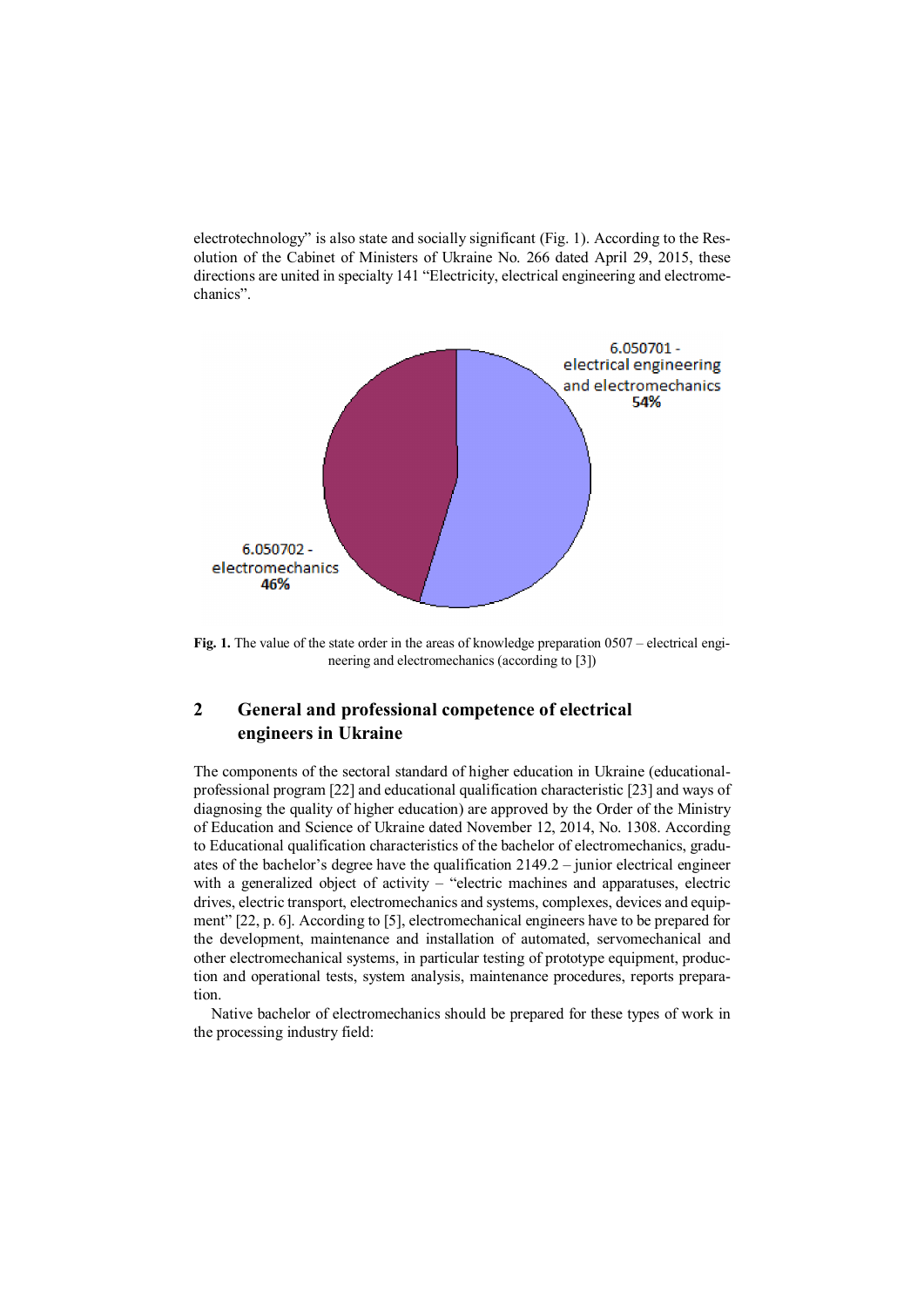electrotechnology" is also state and socially significant (Fig. 1). According to the Resolution of the Cabinet of Ministers of Ukraine No. 266 dated April 29, 2015, these directions are united in specialty 141 "Electricity, electrical engineering and electromechanics".



Fig. 1. The value of the state order in the areas of knowledge preparation 0507 – electrical engineering and electromechanics (according to [3])

# 2 General and professional competence of electrical engineers in Ukraine

The components of the sectoral standard of higher education in Ukraine (educationalprofessional program [22] and educational qualification characteristic [23] and ways of diagnosing the quality of higher education) are approved by the Order of the Ministry of Education and Science of Ukraine dated November 12, 2014, No. 1308. According to Educational qualification characteristics of the bachelor of electromechanics, graduates of the bachelor's degree have the qualification 2149.2 – junior electrical engineer with a generalized object of activity – "electric machines and apparatuses, electric drives, electric transport, electromechanics and systems, complexes, devices and equipment" [22, p. 6]. According to [5], electromechanical engineers have to be prepared for the development, maintenance and installation of automated, servomechanical and other electromechanical systems, in particular testing of prototype equipment, production and operational tests, system analysis, maintenance procedures, reports preparation.

Native bachelor of electromechanics should be prepared for these types of work in the processing industry field: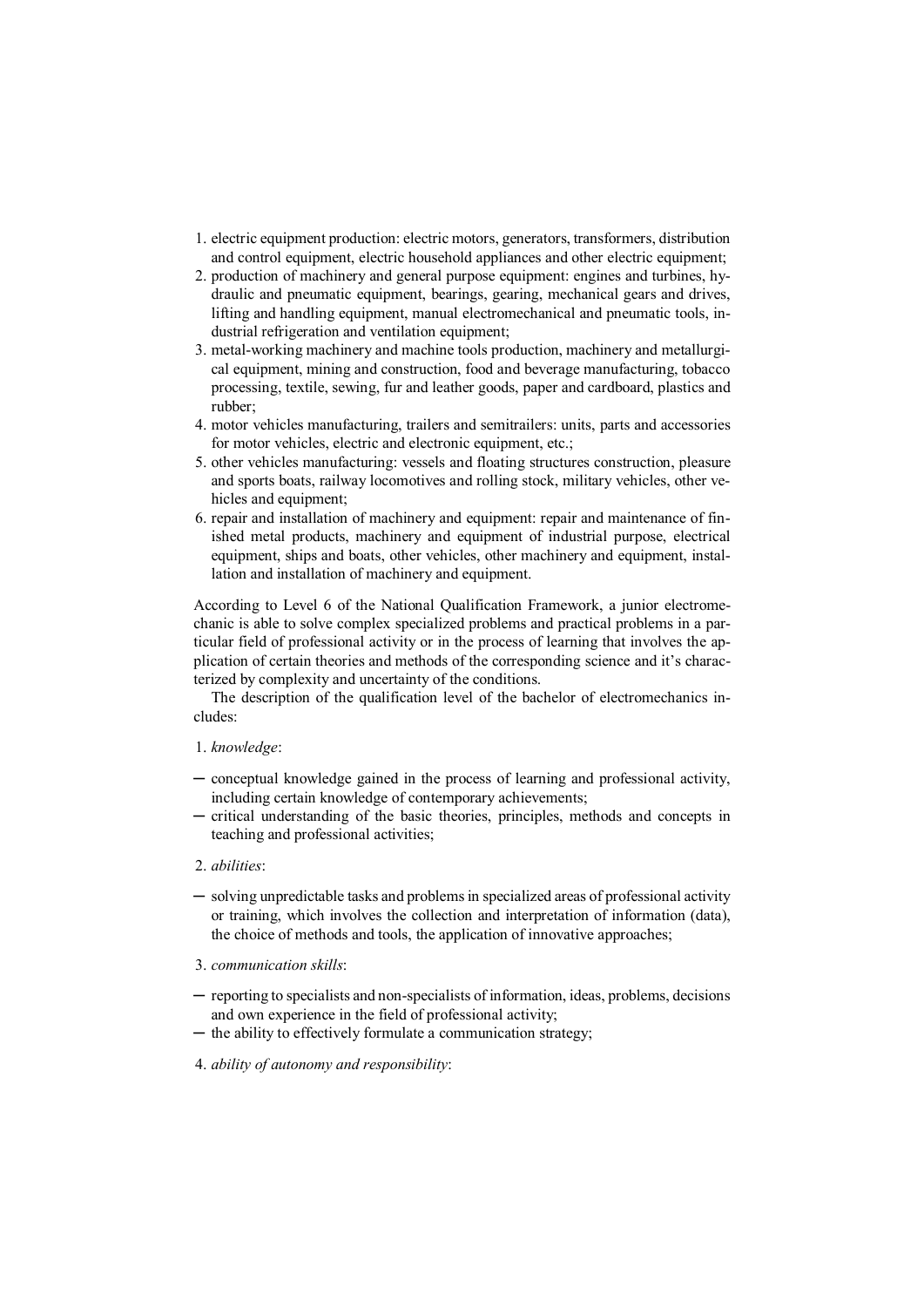- 1. electric equipment production: electric motors, generators, transformers, distribution and control equipment, electric household appliances and other electric equipment;
- 2. production of machinery and general purpose equipment: engines and turbines, hydraulic and pneumatic equipment, bearings, gearing, mechanical gears and drives, lifting and handling equipment, manual electromechanical and pneumatic tools, industrial refrigeration and ventilation equipment;
- 3. metal-working machinery and machine tools production, machinery and metallurgical equipment, mining and construction, food and beverage manufacturing, tobacco processing, textile, sewing, fur and leather goods, paper and cardboard, plastics and rubber;
- 4. motor vehicles manufacturing, trailers and semitrailers: units, parts and accessories for motor vehicles, electric and electronic equipment, etc.;
- 5. other vehicles manufacturing: vessels and floating structures construction, pleasure and sports boats, railway locomotives and rolling stock, military vehicles, other vehicles and equipment:
- 6. repair and installation of machinery and equipment: repair and maintenance of finished metal products, machinery and equipment of industrial purpose, electrical equipment, ships and boats, other vehicles, other machinery and equipment, installation and installation of machinery and equipment.

According to Level 6 of the National Qualification Framework, a junior electromechanic is able to solve complex specialized problems and practical problems in a particular field of professional activity or in the process of learning that involves the application of certain theories and methods of the corresponding science and it's characterized by complexity and uncertainty of the conditions.

The description of the qualification level of the bachelor of electromechanics includes:

#### 1. *knowledge*:

- ─ conceptual knowledge gained in the process of learning and professional activity, including certain knowledge of contemporary achievements;
- critical understanding of the basic theories, principles, methods and concepts in teaching and professional activities;

#### 2. *abilities*:

- ─ solving unpredictable tasks and problems in specialized areas of professional activity or training, which involves the collection and interpretation of information (data), the choice of methods and tools, the application of innovative approaches;
- 3. *communication skills*:
- ─ reporting to specialists and non-specialists of information, ideas, problems, decisions and own experience in the field of professional activity;
- ─ the ability to effectively formulate a communication strategy;
- 4. *ability of autonomy and responsibility*: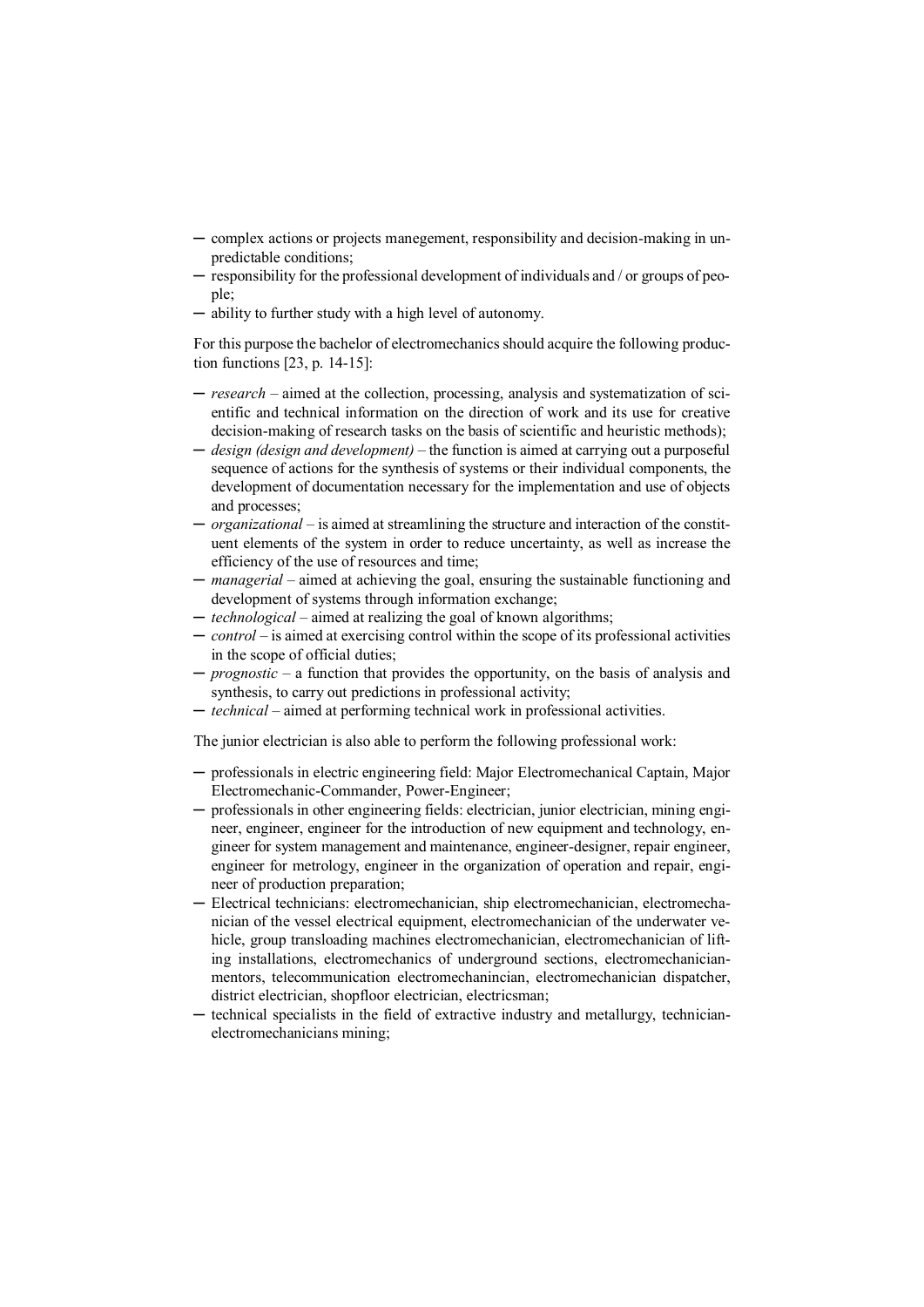- ─ complex actions or projects manegement, responsibility and decision-making in unpredictable conditions;
- ─ responsibility for the professional development of individuals and / or groups of people;
- ─ ability to further study with a high level of autonomy.

For this purpose the bachelor of electromechanics should acquire the following production functions [23, p. 14-15]:

- ─ *research*  aimed at the collection, processing, analysis and systematization of scientific and technical information on the direction of work and its use for creative decision-making of research tasks on the basis of scientific and heuristic methods);
- ─ *design (design and development)*  the function is aimed at carrying out a purposeful sequence of actions for the synthesis of systems or their individual components, the development of documentation necessary for the implementation and use of objects and processes;
- ─ *organizational*  is aimed at streamlining the structure and interaction of the constituent elements of the system in order to reduce uncertainty, as well as increase the efficiency of the use of resources and time;
- ─ *managerial*  aimed at achieving the goal, ensuring the sustainable functioning and development of systems through information exchange;
- ─ *technological*  aimed at realizing the goal of known algorithms;
- ─ *control*  is aimed at exercising control within the scope of its professional activities in the scope of official duties;
- ─ *prognostic*  a function that provides the opportunity, on the basis of analysis and synthesis, to carry out predictions in professional activity;
- ─ *technical*  aimed at performing technical work in professional activities.

The junior electrician is also able to perform the following professional work:

- ─ professionals in electric engineering field: Major Electromechanical Captain, Major Electromechanic-Commander, Power-Engineer;
- ─ professionals in other engineering fields: electrician, junior electrician, mining engineer, engineer, engineer for the introduction of new equipment and technology, engineer for system management and maintenance, engineer-designer, repair engineer, engineer for metrology, engineer in the organization of operation and repair, engineer of production preparation;
- ─ Electrical technicians: electromechanician, ship electromechanician, electromechanician of the vessel electrical equipment, electromechanician of the underwater vehicle, group transloading machines electromechanician, electromechanician of lifting installations, electromechanics of underground sections, electromechanicianmentors, telecommunication electromechanincian, electromechanician dispatcher, district electrician, shopfloor electrician, electricsman;
- ─ technical specialists in the field of extractive industry and metallurgy, technicianelectromechanicians mining;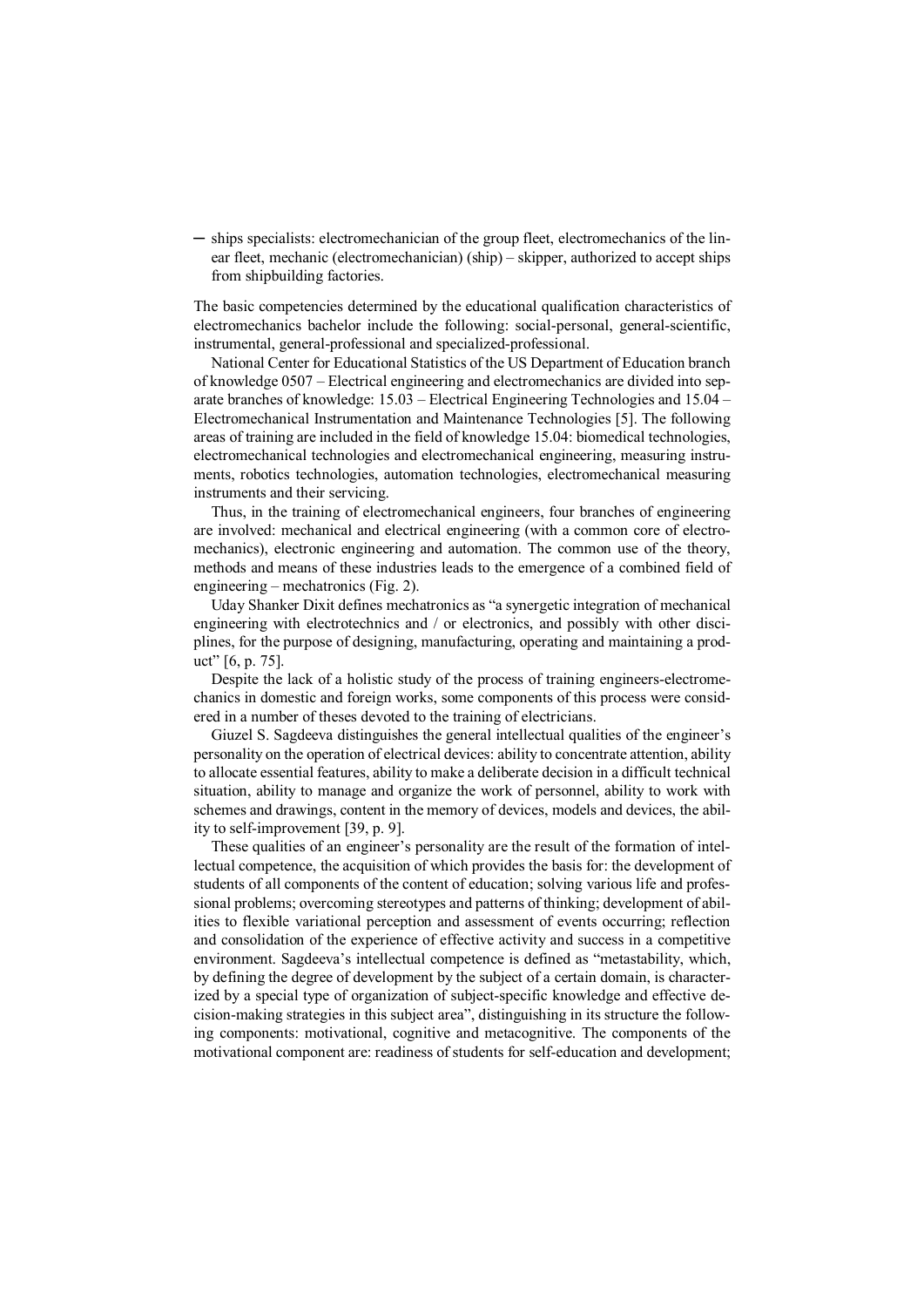─ ships specialists: electromechanician of the group fleet, electromechanics of the linear fleet, mechanic (electromechanician) (ship) – skipper, authorized to accept ships from shipbuilding factories.

The basic competencies determined by the educational qualification characteristics of electromechanics bachelor include the following: social-personal, general-scientific, instrumental, general-professional and specialized-professional.

National Center for Educational Statistics of the US Department of Education branch of knowledge 0507 – Electrical engineering and electromechanics are divided into separate branches of knowledge: 15.03 – Electrical Engineering Technologies and 15.04 – Electromechanical Instrumentation and Maintenance Technologies [5]. The following areas of training are included in the field of knowledge 15.04: biomedical technologies, electromechanical technologies and electromechanical engineering, measuring instruments, robotics technologies, automation technologies, electromechanical measuring instruments and their servicing.

Thus, in the training of electromechanical engineers, four branches of engineering are involved: mechanical and electrical engineering (with a common core of electromechanics), electronic engineering and automation. The common use of the theory, methods and means of these industries leads to the emergence of a combined field of engineering – mechatronics (Fig. 2).

Uday Shanker Dixit defines mechatronics as "a synergetic integration of mechanical engineering with electrotechnics and / or electronics, and possibly with other disciplines, for the purpose of designing, manufacturing, operating and maintaining a product" [6, p. 75].

Despite the lack of a holistic study of the process of training engineers-electromechanics in domestic and foreign works, some components of this process were considered in a number of theses devoted to the training of electricians.

Giuzel S. Sagdeeva distinguishes the general intellectual qualities of the engineer's personality on the operation of electrical devices: ability to concentrate attention, ability to allocate essential features, ability to make a deliberate decision in a difficult technical situation, ability to manage and organize the work of personnel, ability to work with schemes and drawings, content in the memory of devices, models and devices, the ability to self-improvement [39, p. 9].

These qualities of an engineer's personality are the result of the formation of intellectual competence, the acquisition of which provides the basis for: the development of students of all components of the content of education; solving various life and professional problems; overcoming stereotypes and patterns of thinking; development of abilities to flexible variational perception and assessment of events occurring; reflection and consolidation of the experience of effective activity and success in a competitive environment. Sagdeeva's intellectual competence is defined as "metastability, which, by defining the degree of development by the subject of a certain domain, is characterized by a special type of organization of subject-specific knowledge and effective decision-making strategies in this subject area", distinguishing in its structure the following components: motivational, cognitive and metacognitive. The components of the motivational component are: readiness of students for self-education and development;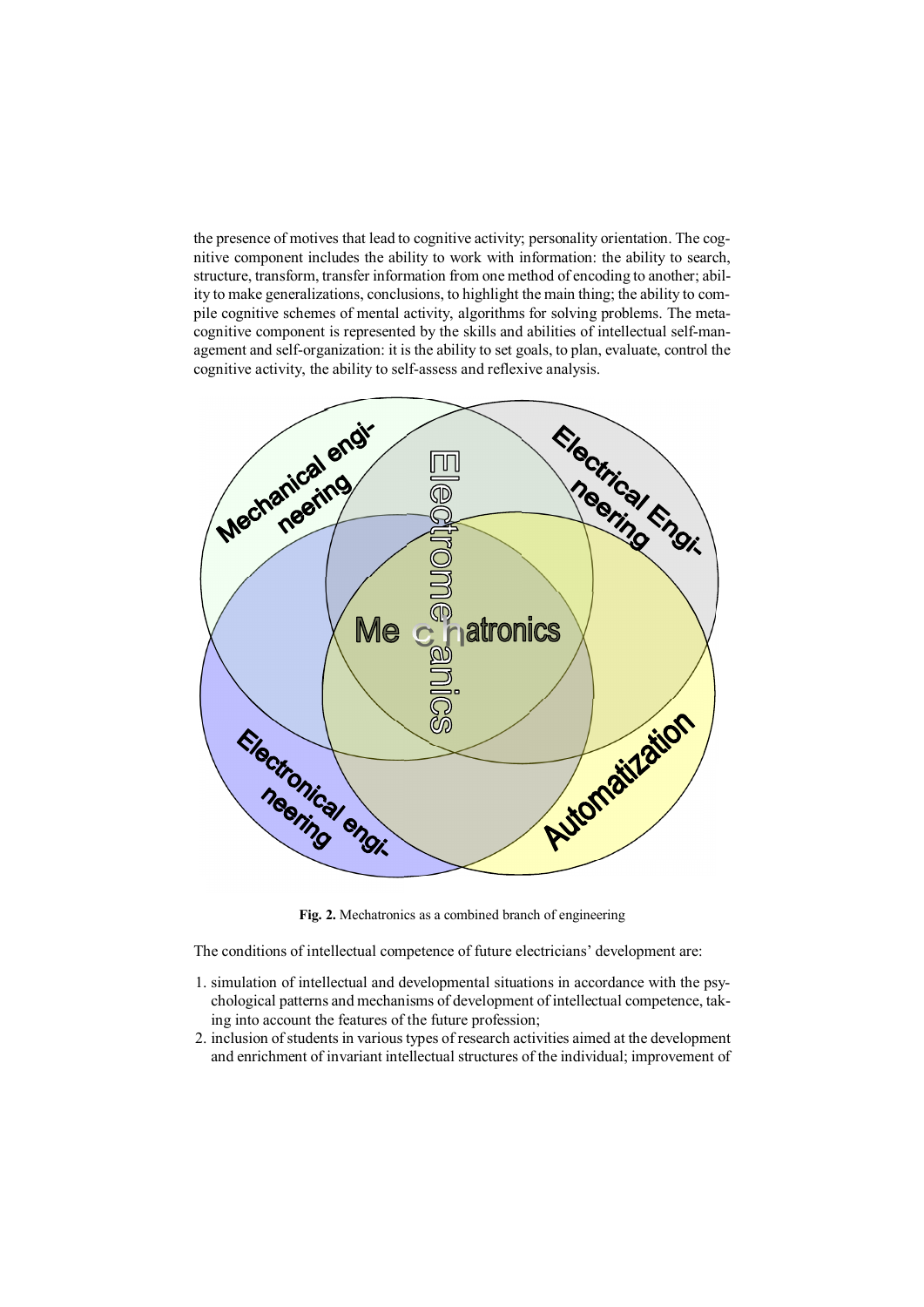the presence of motives that lead to cognitive activity; personality orientation. The cognitive component includes the ability to work with information: the ability to search, structure, transform, transfer information from one method of encoding to another; ability to make generalizations, conclusions, to highlight the main thing; the ability to compile cognitive schemes of mental activity, algorithms for solving problems. The metacognitive component is represented by the skills and abilities of intellectual self-management and self-organization: it is the ability to set goals, to plan, evaluate, control the cognitive activity, the ability to self-assess and reflexive analysis.



Fig. 2. Mechatronics as a combined branch of engineering

The conditions of intellectual competence of future electricians' development are:

- 1. simulation of intellectual and developmental situations in accordance with the psychological patterns and mechanisms of development of intellectual competence, taking into account the features of the future profession;
- 2. inclusion of students in various types of research activities aimed at the development and enrichment of invariant intellectual structures of the individual; improvement of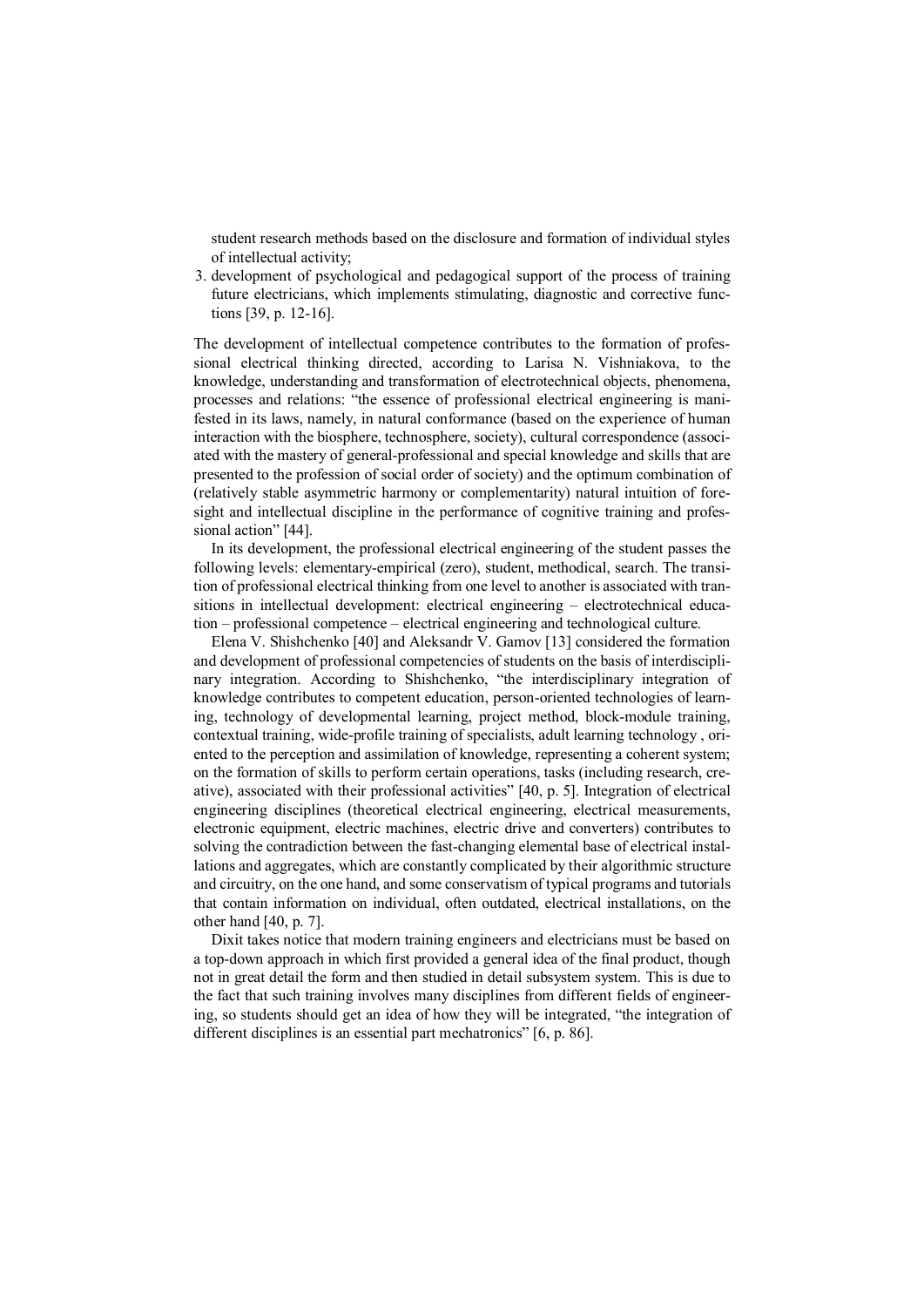student research methods based on the disclosure and formation of individual styles of intellectual activity;

3. development of psychological and pedagogical support of the process of training future electricians, which implements stimulating, diagnostic and corrective functions [39, p. 12-16].

The development of intellectual competence contributes to the formation of professional electrical thinking directed, according to Larisa N. Vishniakova, to the knowledge, understanding and transformation of electrotechnical objects, phenomena, processes and relations: "the essence of professional electrical engineering is manifested in its laws, namely, in natural conformance (based on the experience of human interaction with the biosphere, technosphere, society), cultural correspondence (associated with the mastery of general-professional and special knowledge and skills that are presented to the profession of social order of society) and the optimum combination of (relatively stable asymmetric harmony or complementarity) natural intuition of foresight and intellectual discipline in the performance of cognitive training and professional action" [44].

In its development, the professional electrical engineering of the student passes the following levels: elementary-empirical (zero), student, methodical, search. The transition of professional electrical thinking from one level to another is associated with transitions in intellectual development: electrical engineering – electrotechnical education – professional competence – electrical engineering and technological culture.

Elena V. Shishchenko [40] and Aleksandr V. Gamov [13] considered the formation and development of professional competencies of students on the basis of interdisciplinary integration. According to Shishchenko, "the interdisciplinary integration of knowledge contributes to competent education, person-oriented technologies of learning, technology of developmental learning, project method, block-module training, contextual training, wide-profile training of specialists, adult learning technology , oriented to the perception and assimilation of knowledge, representing a coherent system; on the formation of skills to perform certain operations, tasks (including research, creative), associated with their professional activities" [40, p. 5]. Integration of electrical engineering disciplines (theoretical electrical engineering, electrical measurements, electronic equipment, electric machines, electric drive and converters) contributes to solving the contradiction between the fast-changing elemental base of electrical installations and aggregates, which are constantly complicated by their algorithmic structure and circuitry, on the one hand, and some conservatism of typical programs and tutorials that contain information on individual, often outdated, electrical installations, on the other hand [40, p. 7].

Dixit takes notice that modern training engineers and electricians must be based on a top-down approach in which first provided a general idea of the final product, though not in great detail the form and then studied in detail subsystem system. This is due to the fact that such training involves many disciplines from different fields of engineering, so students should get an idea of how they will be integrated, "the integration of different disciplines is an essential part mechatronics" [6, p. 86].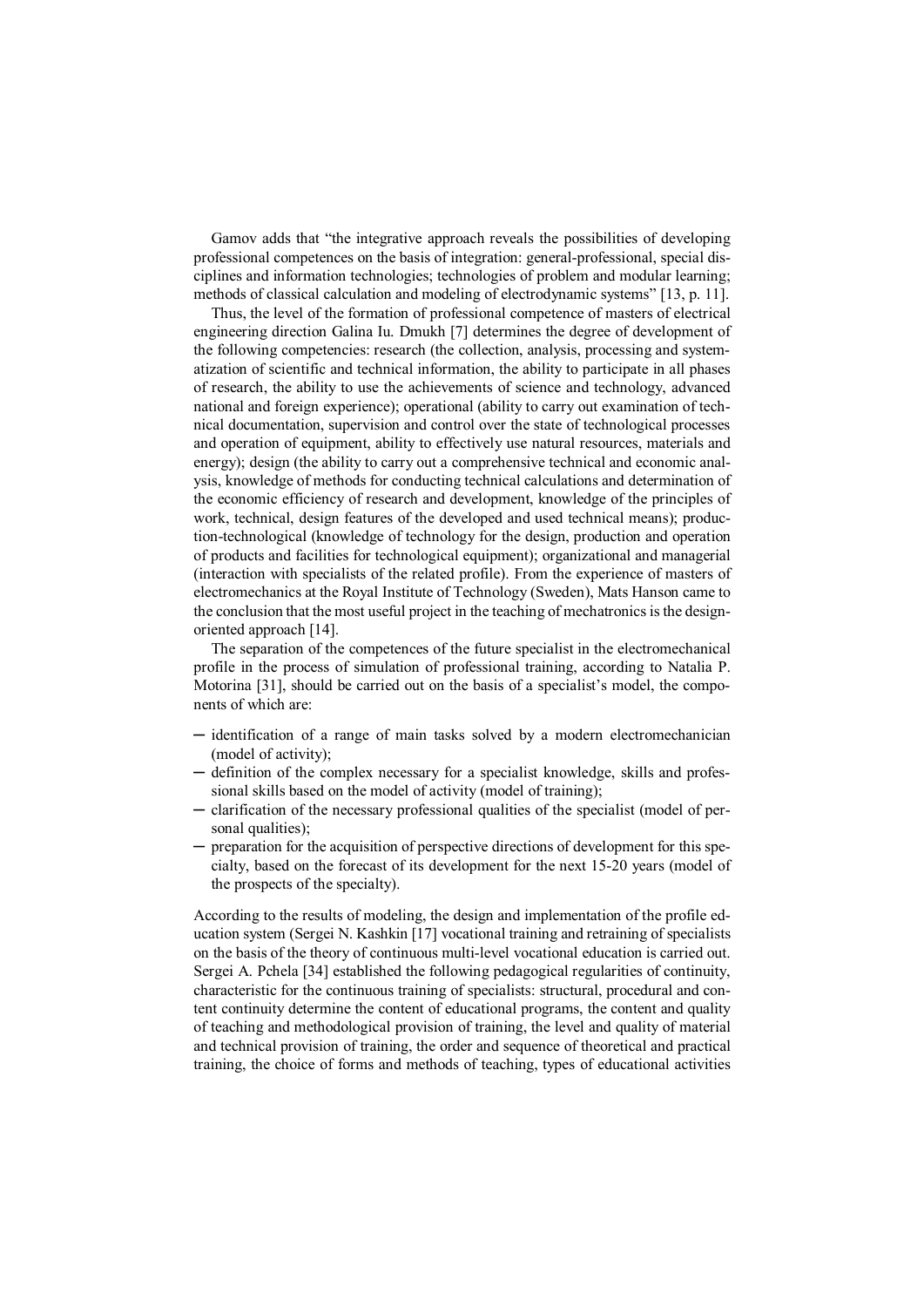Gamov adds that "the integrative approach reveals the possibilities of developing professional competences on the basis of integration: general-professional, special disciplines and information technologies; technologies of problem and modular learning; methods of classical calculation and modeling of electrodynamic systems" [13, p. 11].

Thus, the level of the formation of professional competence of masters of electrical engineering direction Galina Iu. Dmukh [7] determines the degree of development of the following competencies: research (the collection, analysis, processing and systematization of scientific and technical information, the ability to participate in all phases of research, the ability to use the achievements of science and technology, advanced national and foreign experience); operational (ability to carry out examination of technical documentation, supervision and control over the state of technological processes and operation of equipment, ability to effectively use natural resources, materials and energy); design (the ability to carry out a comprehensive technical and economic analysis, knowledge of methods for conducting technical calculations and determination of the economic efficiency of research and development, knowledge of the principles of work, technical, design features of the developed and used technical means); production-technological (knowledge of technology for the design, production and operation of products and facilities for technological equipment); organizational and managerial (interaction with specialists of the related profile). From the experience of masters of electromechanics at the Royal Institute of Technology (Sweden), Mats Hanson came to the conclusion that the most useful project in the teaching of mechatronics is the designoriented approach [14].

The separation of the competences of the future specialist in the electromechanical profile in the process of simulation of professional training, according to Natalia P. Motorina [31], should be carried out on the basis of a specialist's model, the components of which are:

- ─ identification of a range of main tasks solved by a modern electromechanician (model of activity);
- ─ definition of the complex necessary for a specialist knowledge, skills and professional skills based on the model of activity (model of training);
- ─ clarification of the necessary professional qualities of the specialist (model of personal qualities):
- ─ preparation for the acquisition of perspective directions of development for this specialty, based on the forecast of its development for the next 15-20 years (model of the prospects of the specialty).

According to the results of modeling, the design and implementation of the profile education system (Sergei N. Kashkin [17] vocational training and retraining of specialists on the basis of the theory of continuous multi-level vocational education is carried out. Sergei A. Pchela [34] established the following pedagogical regularities of continuity, characteristic for the continuous training of specialists: structural, procedural and content continuity determine the content of educational programs, the content and quality of teaching and methodological provision of training, the level and quality of material and technical provision of training, the order and sequence of theoretical and practical training, the choice of forms and methods of teaching, types of educational activities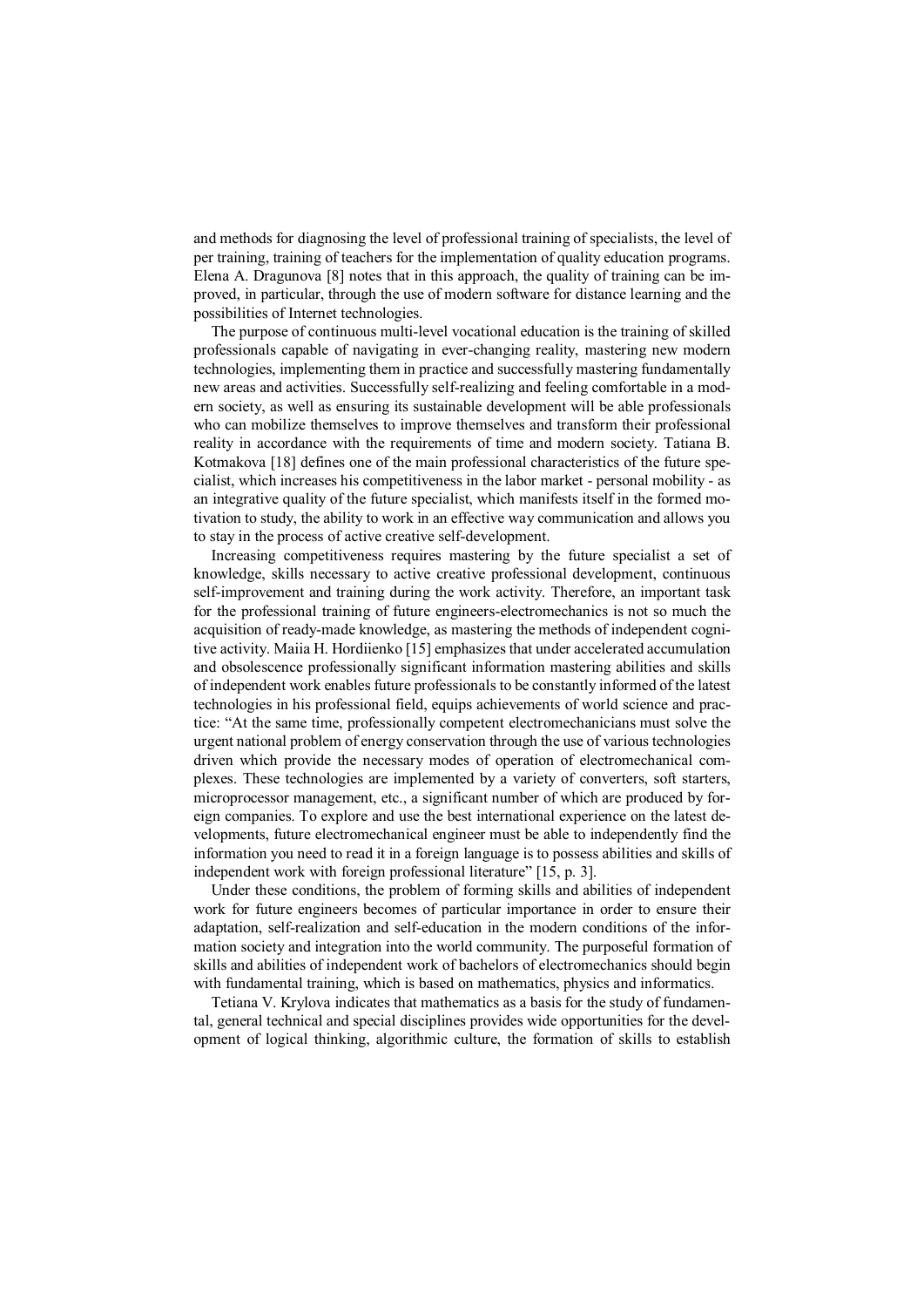and methods for diagnosing the level of professional training of specialists, the level of per training, training of teachers for the implementation of quality education programs. Elena A. Dragunova [8] notes that in this approach, the quality of training can be improved, in particular, through the use of modern software for distance learning and the possibilities of Internet technologies.

The purpose of continuous multi-level vocational education is the training of skilled professionals capable of navigating in ever-changing reality, mastering new modern technologies, implementing them in practice and successfully mastering fundamentally new areas and activities. Successfully self-realizing and feeling comfortable in a modern society, as well as ensuring its sustainable development will be able professionals who can mobilize themselves to improve themselves and transform their professional reality in accordance with the requirements of time and modern society. Tatiana B. Kotmakova [18] defines one of the main professional characteristics of the future specialist, which increases his competitiveness in the labor market - personal mobility - as an integrative quality of the future specialist, which manifests itself in the formed motivation to study, the ability to work in an effective way communication and allows you to stay in the process of active creative self-development.

Increasing competitiveness requires mastering by the future specialist a set of knowledge, skills necessary to active creative professional development, continuous self-improvement and training during the work activity. Therefore, an important task for the professional training of future engineers-electromechanics is not so much the acquisition of ready-made knowledge, as mastering the methods of independent cognitive activity. Maiia H. Hordiienko [15] emphasizes that under accelerated accumulation and obsolescence professionally significant information mastering abilities and skills of independent work enables future professionals to be constantly informed of the latest technologies in his professional field, equips achievements of world science and practice: "At the same time, professionally competent electromechanicians must solve the urgent national problem of energy conservation through the use of various technologies driven which provide the necessary modes of operation of electromechanical complexes. These technologies are implemented by a variety of converters, soft starters, microprocessor management, etc., a significant number of which are produced by foreign companies. To explore and use the best international experience on the latest developments, future electromechanical engineer must be able to independently find the information you need to read it in a foreign language is to possess abilities and skills of independent work with foreign professional literature" [15, p. 3].

Under these conditions, the problem of forming skills and abilities of independent work for future engineers becomes of particular importance in order to ensure their adaptation, self-realization and self-education in the modern conditions of the information society and integration into the world community. The purposeful formation of skills and abilities of independent work of bachelors of electromechanics should begin with fundamental training, which is based on mathematics, physics and informatics.

Tetiana V. Krylova indicates that mathematics as a basis for the study of fundamental, general technical and special disciplines provides wide opportunities for the development of logical thinking, algorithmic culture, the formation of skills to establish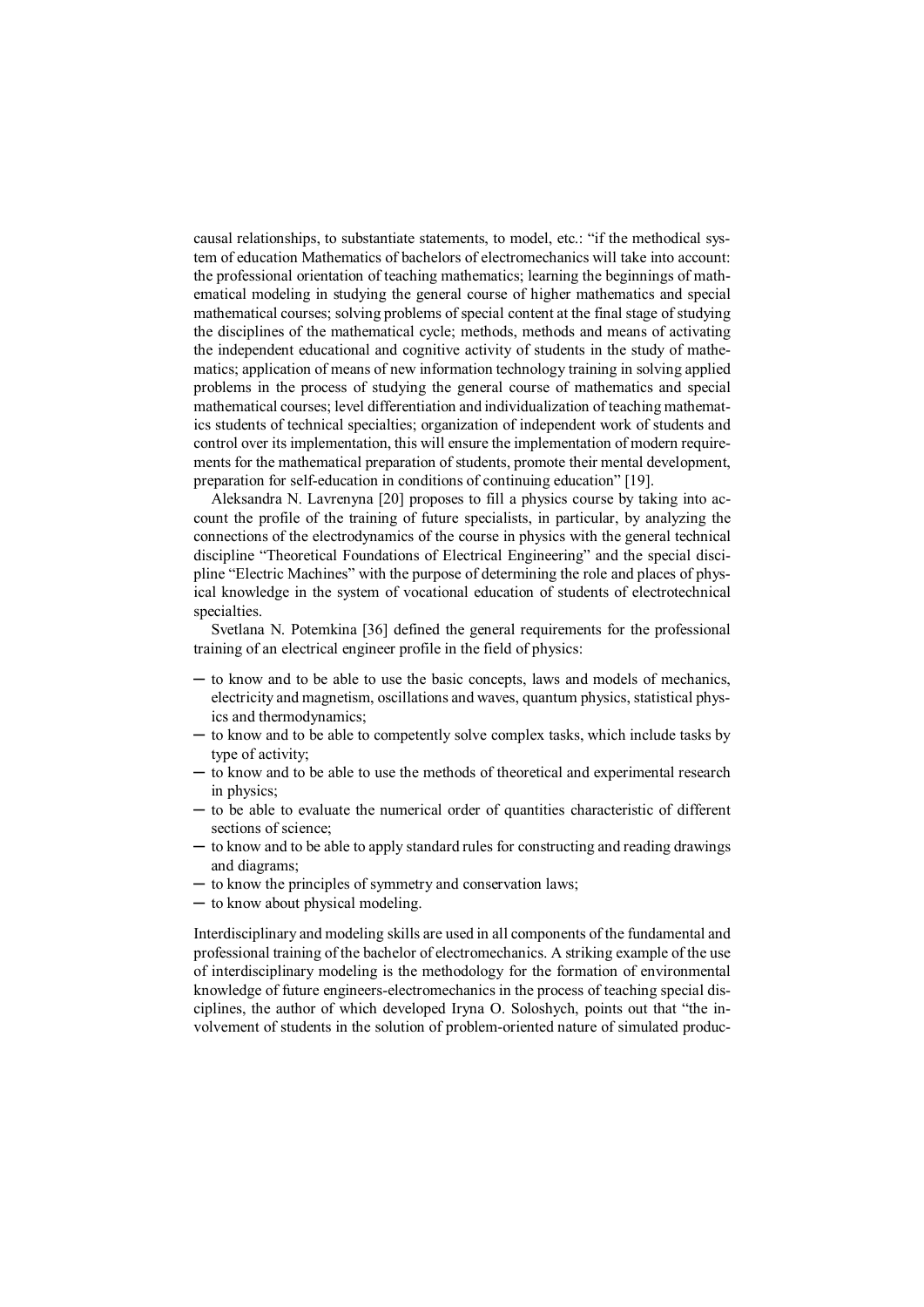causal relationships, to substantiate statements, to model, etc.: "if the methodical system of education Mathematics of bachelors of electromechanics will take into account: the professional orientation of teaching mathematics; learning the beginnings of mathematical modeling in studying the general course of higher mathematics and special mathematical courses; solving problems of special content at the final stage of studying the disciplines of the mathematical cycle; methods, methods and means of activating the independent educational and cognitive activity of students in the study of mathematics; application of means of new information technology training in solving applied problems in the process of studying the general course of mathematics and special mathematical courses; level differentiation and individualization of teaching mathematics students of technical specialties; organization of independent work of students and control over its implementation, this will ensure the implementation of modern requirements for the mathematical preparation of students, promote their mental development, preparation for self-education in conditions of continuing education" [19].

Aleksandra N. Lavrenyna [20] proposes to fill a physics course by taking into account the profile of the training of future specialists, in particular, by analyzing the connections of the electrodynamics of the course in physics with the general technical discipline "Theoretical Foundations of Electrical Engineering" and the special discipline "Electric Machines" with the purpose of determining the role and places of physical knowledge in the system of vocational education of students of electrotechnical specialties.

Svetlana N. Potemkina [36] defined the general requirements for the professional training of an electrical engineer profile in the field of physics:

- ─ to know and to be able to use the basic concepts, laws and models of mechanics, electricity and magnetism, oscillations and waves, quantum physics, statistical physics and thermodynamics;
- ─ to know and to be able to competently solve complex tasks, which include tasks by type of activity;
- ─ to know and to be able to use the methods of theoretical and experimental research in physics;
- ─ to be able to evaluate the numerical order of quantities characteristic of different sections of science;
- ─ to know and to be able to apply standard rules for constructing and reading drawings and diagrams;
- ─ to know the principles of symmetry and conservation laws;
- ─ to know about physical modeling.

Interdisciplinary and modeling skills are used in all components of the fundamental and professional training of the bachelor of electromechanics. A striking example of the use of interdisciplinary modeling is the methodology for the formation of environmental knowledge of future engineers-electromechanics in the process of teaching special disciplines, the author of which developed Iryna O. Soloshych, points out that "the involvement of students in the solution of problem-oriented nature of simulated produc-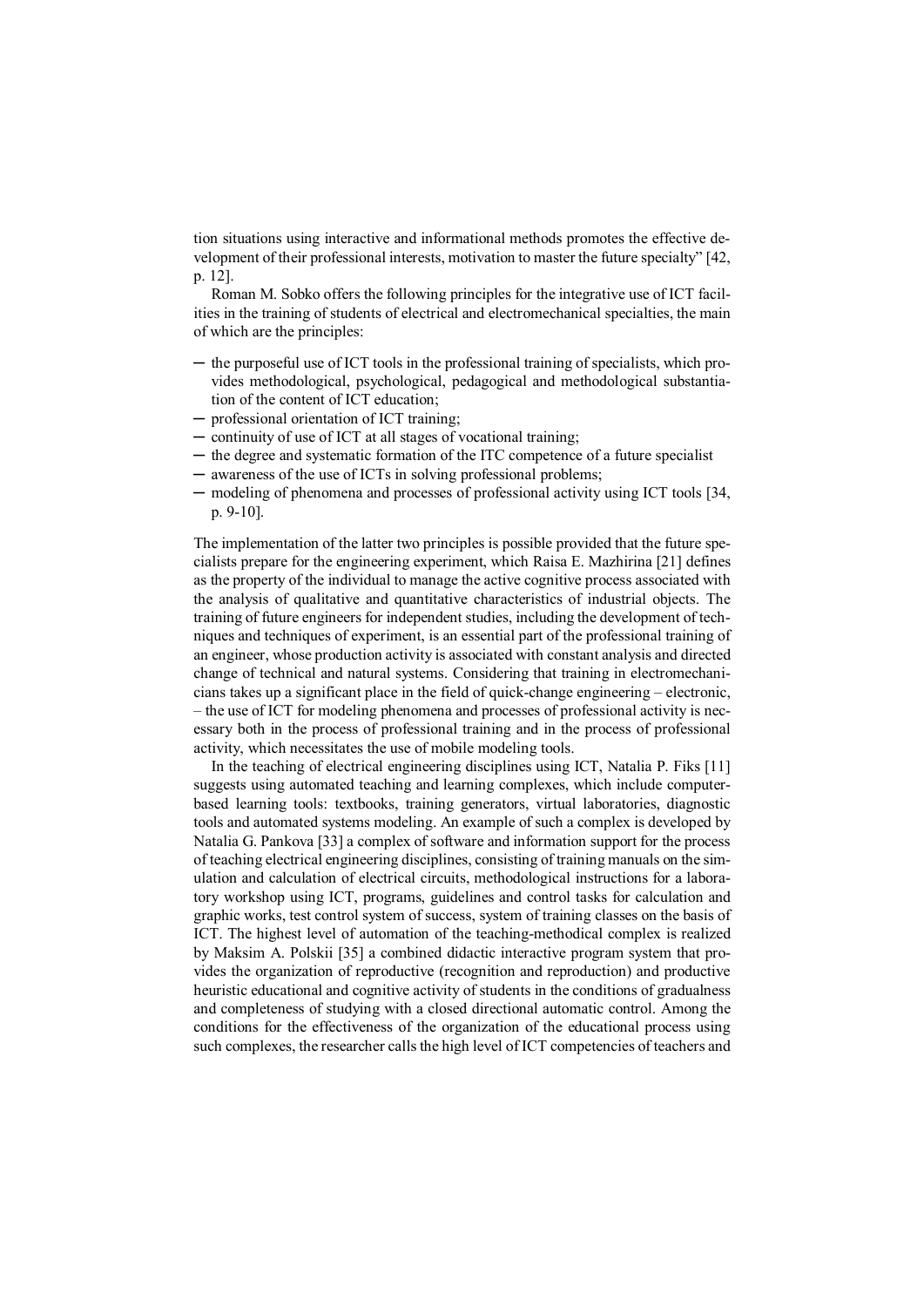tion situations using interactive and informational methods promotes the effective development of their professional interests, motivation to master the future specialty" [42, p. 12].

Roman M. Sobko offers the following principles for the integrative use of ICT facilities in the training of students of electrical and electromechanical specialties, the main of which are the principles:

- ─ the purposeful use of ICT tools in the professional training of specialists, which provides methodological, psychological, pedagogical and methodological substantiation of the content of ICT education;
- ─ professional orientation of ICT training;
- ─ continuity of use of ICT at all stages of vocational training;
- ─ the degree and systematic formation of the ITC competence of a future specialist
- ─ awareness of the use of ICTs in solving professional problems;
- ─ modeling of phenomena and processes of professional activity using ICT tools [34, p. 9-10].

The implementation of the latter two principles is possible provided that the future specialists prepare for the engineering experiment, which Raisa E. Mazhirina [21] defines as the property of the individual to manage the active cognitive process associated with the analysis of qualitative and quantitative characteristics of industrial objects. The training of future engineers for independent studies, including the development of techniques and techniques of experiment, is an essential part of the professional training of an engineer, whose production activity is associated with constant analysis and directed change of technical and natural systems. Considering that training in electromechanicians takes up a significant place in the field of quick-change engineering – electronic, – the use of ICT for modeling phenomena and processes of professional activity is necessary both in the process of professional training and in the process of professional activity, which necessitates the use of mobile modeling tools.

In the teaching of electrical engineering disciplines using ICT, Natalia P. Fiks [11] suggests using automated teaching and learning complexes, which include computerbased learning tools: textbooks, training generators, virtual laboratories, diagnostic tools and automated systems modeling. An example of such a complex is developed by Natalia G. Pankova [33] a complex of software and information support for the process of teaching electrical engineering disciplines, consisting of training manuals on the simulation and calculation of electrical circuits, methodological instructions for a laboratory workshop using ICT, programs, guidelines and control tasks for calculation and graphic works, test control system of success, system of training classes on the basis of ICT. The highest level of automation of the teaching-methodical complex is realized by Maksim A. Polskii [35] a combined didactic interactive program system that provides the organization of reproductive (recognition and reproduction) and productive heuristic educational and cognitive activity of students in the conditions of gradualness and completeness of studying with a closed directional automatic control. Among the conditions for the effectiveness of the organization of the educational process using such complexes, the researcher calls the high level of ICT competencies of teachers and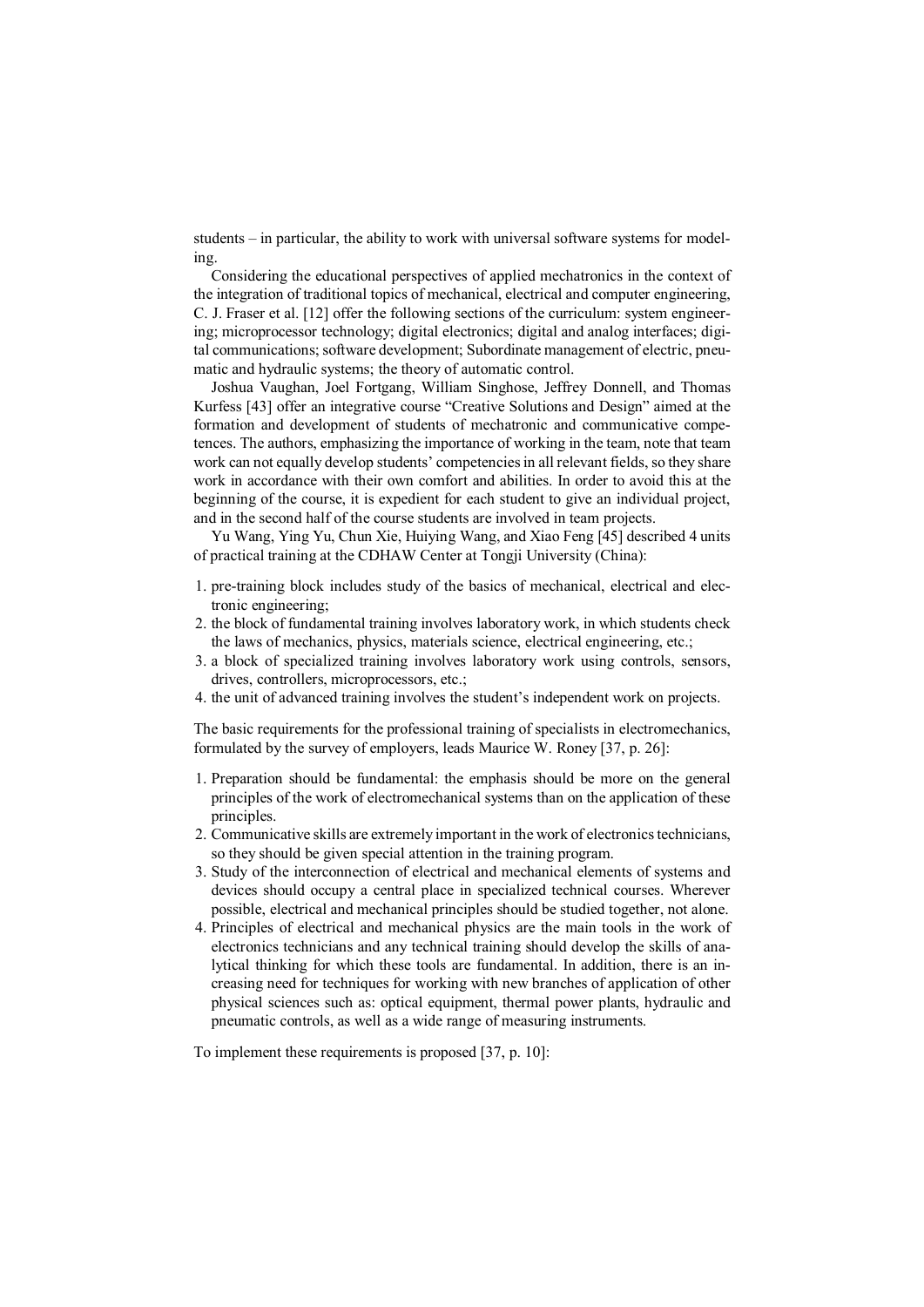students – in particular, the ability to work with universal software systems for modeling.

Considering the educational perspectives of applied mechatronics in the context of the integration of traditional topics of mechanical, electrical and computer engineering, C. J. Fraser et al. [12] offer the following sections of the curriculum: system engineering; microprocessor technology; digital electronics; digital and analog interfaces; digital communications; software development; Subordinate management of electric, pneumatic and hydraulic systems; the theory of automatic control.

Joshua Vaughan, Joel Fortgang, William Singhose, Jeffrey Donnell, and Thomas Kurfess [43] offer an integrative course "Creative Solutions and Design" aimed at the formation and development of students of mechatronic and communicative competences. The authors, emphasizing the importance of working in the team, note that team work can not equally develop students' competencies in all relevant fields, so they share work in accordance with their own comfort and abilities. In order to avoid this at the beginning of the course, it is expedient for each student to give an individual project, and in the second half of the course students are involved in team projects.

Yu Wang, Ying Yu, Chun Xie, Huiying Wang, and Xiao Feng [45] described 4 units of practical training at the CDHAW Center at Tongji University (China):

- 1. pre-training block includes study of the basics of mechanical, electrical and electronic engineering;
- 2. the block of fundamental training involves laboratory work, in which students check the laws of mechanics, physics, materials science, electrical engineering, etc.;
- 3. a block of specialized training involves laboratory work using controls, sensors, drives, controllers, microprocessors, etc.;
- 4. the unit of advanced training involves the student's independent work on projects.

The basic requirements for the professional training of specialists in electromechanics, formulated by the survey of employers, leads Maurice W. Roney [37, p. 26]:

- 1. Preparation should be fundamental: the emphasis should be more on the general principles of the work of electromechanical systems than on the application of these principles.
- 2. Communicative skills are extremely important in the work of electronics technicians, so they should be given special attention in the training program.
- 3. Study of the interconnection of electrical and mechanical elements of systems and devices should occupy a central place in specialized technical courses. Wherever possible, electrical and mechanical principles should be studied together, not alone.
- 4. Principles of electrical and mechanical physics are the main tools in the work of electronics technicians and any technical training should develop the skills of analytical thinking for which these tools are fundamental. In addition, there is an increasing need for techniques for working with new branches of application of other physical sciences such as: optical equipment, thermal power plants, hydraulic and pneumatic controls, as well as a wide range of measuring instruments.

To implement these requirements is proposed [37, p. 10]: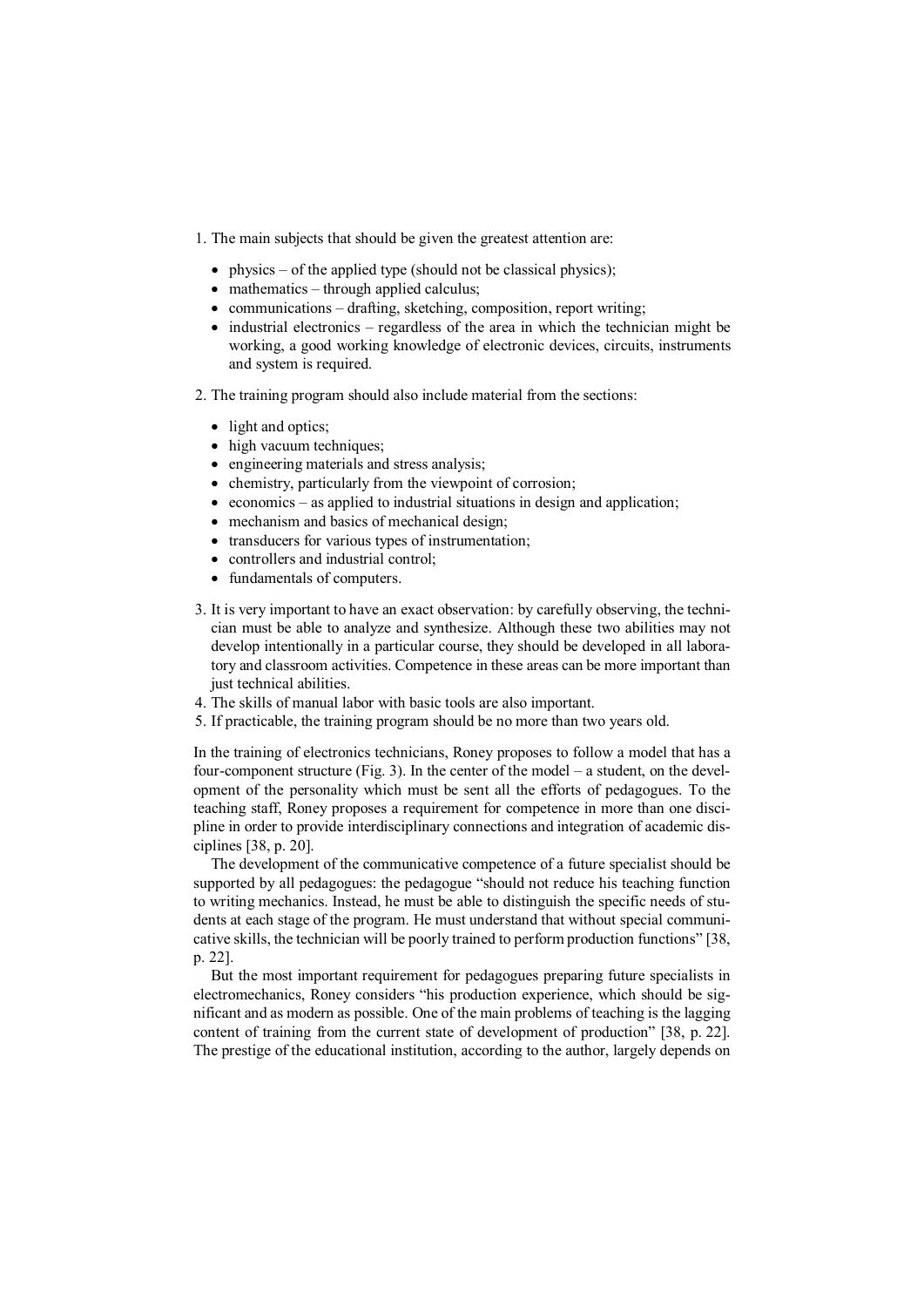- 1. The main subjects that should be given the greatest attention are:
	- physics of the applied type (should not be classical physics);
	- mathematics through applied calculus;
	- $\bullet$  communications drafting, sketching, composition, report writing;
	- $\bullet$  industrial electronics regardless of the area in which the technician might be working, a good working knowledge of electronic devices, circuits, instruments and system is required.
- 2. The training program should also include material from the sections:
	- light and optics;
	- high vacuum techniques;
	- engineering materials and stress analysis;
	- chemistry, particularly from the viewpoint of corrosion;
	- $\bullet$  economics as applied to industrial situations in design and application;
	- mechanism and basics of mechanical design;
	- transducers for various types of instrumentation:
	- controllers and industrial control;
	- fundamentals of computers.
- 3. It is very important to have an exact observation: by carefully observing, the technician must be able to analyze and synthesize. Although these two abilities may not develop intentionally in a particular course, they should be developed in all laboratory and classroom activities. Competence in these areas can be more important than just technical abilities.
- 4. The skills of manual labor with basic tools are also important.
- 5. If practicable, the training program should be no more than two years old.

In the training of electronics technicians, Roney proposes to follow a model that has a four-component structure (Fig. 3). In the center of the model – a student, on the development of the personality which must be sent all the efforts of pedagogues. To the teaching staff, Roney proposes a requirement for competence in more than one discipline in order to provide interdisciplinary connections and integration of academic disciplines [38, p. 20].

The development of the communicative competence of a future specialist should be supported by all pedagogues: the pedagogue "should not reduce his teaching function to writing mechanics. Instead, he must be able to distinguish the specific needs of students at each stage of the program. He must understand that without special communicative skills, the technician will be poorly trained to perform production functions" [38, p. 22].

But the most important requirement for pedagogues preparing future specialists in electromechanics, Roney considers "his production experience, which should be significant and as modern as possible. One of the main problems of teaching is the lagging content of training from the current state of development of production" [38, p. 22]. The prestige of the educational institution, according to the author, largely depends on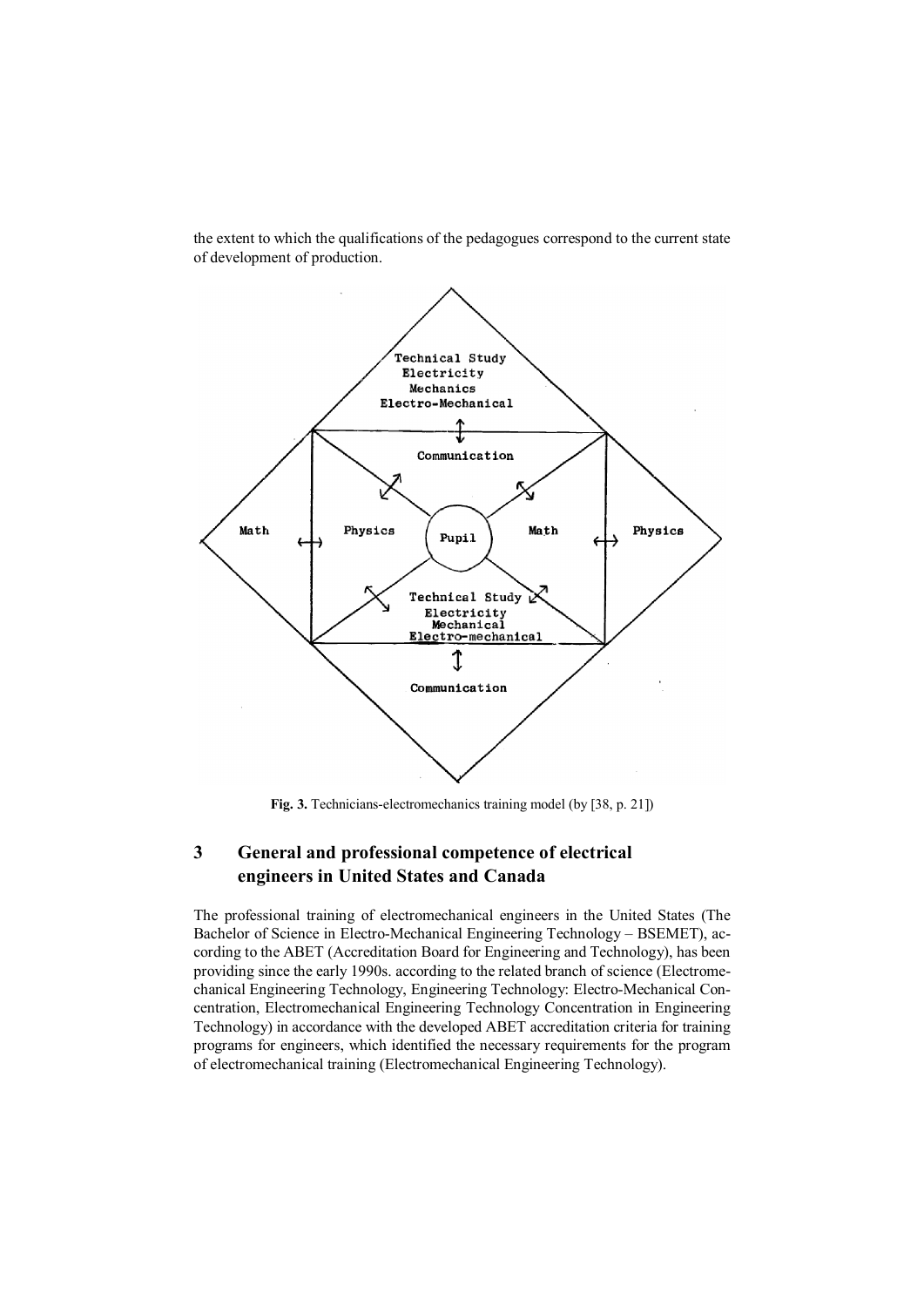

the extent to which the qualifications of the pedagogues correspond to the current state of development of production.

Fig. 3. Technicians-electromechanics training model (by [38, p. 21])

# 3 General and professional competence of electrical engineers in United States and Canada

The professional training of electromechanical engineers in the United States (The Bachelor of Science in Electro-Mechanical Engineering Technology – BSEMET), according to the ABET (Accreditation Board for Engineering and Technology), has been providing since the early 1990s. according to the related branch of science (Electromechanical Engineering Technology, Engineering Technology: Electro-Mechanical Concentration, Electromechanical Engineering Technology Concentration in Engineering Technology) in accordance with the developed ABET accreditation criteria for training programs for engineers, which identified the necessary requirements for the program of electromechanical training (Electromechanical Engineering Technology).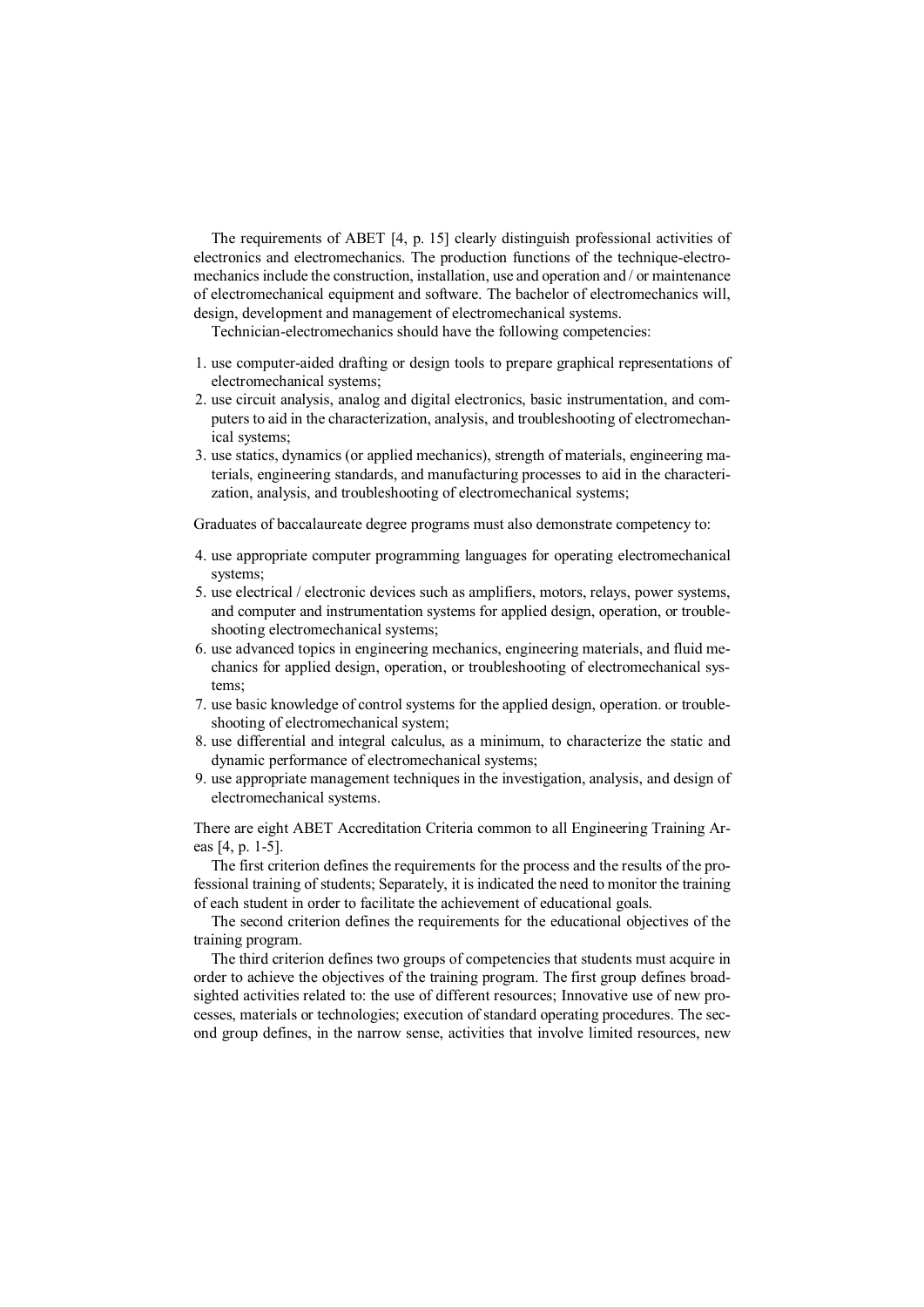The requirements of ABET [4, p. 15] clearly distinguish professional activities of electronics and electromechanics. The production functions of the technique-electromechanics include the construction, installation, use and operation and / or maintenance of electromechanical equipment and software. The bachelor of electromechanics will, design, development and management of electromechanical systems.

Technician-electromechanics should have the following competencies:

- 1. use computer-aided drafting or design tools to prepare graphical representations of electromechanical systems;
- 2. use circuit analysis, analog and digital electronics, basic instrumentation, and computers to aid in the characterization, analysis, and troubleshooting of electromechanical systems;
- 3. use statics, dynamics (or applied mechanics), strength of materials, engineering materials, engineering standards, and manufacturing processes to aid in the characterization, analysis, and troubleshooting of electromechanical systems;

Graduates of baccalaureate degree programs must also demonstrate competency to:

- 4. use appropriate computer programming languages for operating electromechanical systems;
- 5. use electrical / electronic devices such as amplifiers, motors, relays, power systems, and computer and instrumentation systems for applied design, operation, or troubleshooting electromechanical systems;
- 6. use advanced topics in engineering mechanics, engineering materials, and fluid mechanics for applied design, operation, or troubleshooting of electromechanical systems;
- 7. use basic knowledge of control systems for the applied design, operation. or troubleshooting of electromechanical system;
- 8. use differential and integral calculus, as a minimum, to characterize the static and dynamic performance of electromechanical systems;
- 9. use appropriate management techniques in the investigation, analysis, and design of electromechanical systems.

There are eight ABET Accreditation Criteria common to all Engineering Training Areas [4, p. 1-5].

The first criterion defines the requirements for the process and the results of the professional training of students; Separately, it is indicated the need to monitor the training of each student in order to facilitate the achievement of educational goals.

The second criterion defines the requirements for the educational objectives of the training program.

The third criterion defines two groups of competencies that students must acquire in order to achieve the objectives of the training program. The first group defines broadsighted activities related to: the use of different resources; Innovative use of new processes, materials or technologies; execution of standard operating procedures. The second group defines, in the narrow sense, activities that involve limited resources, new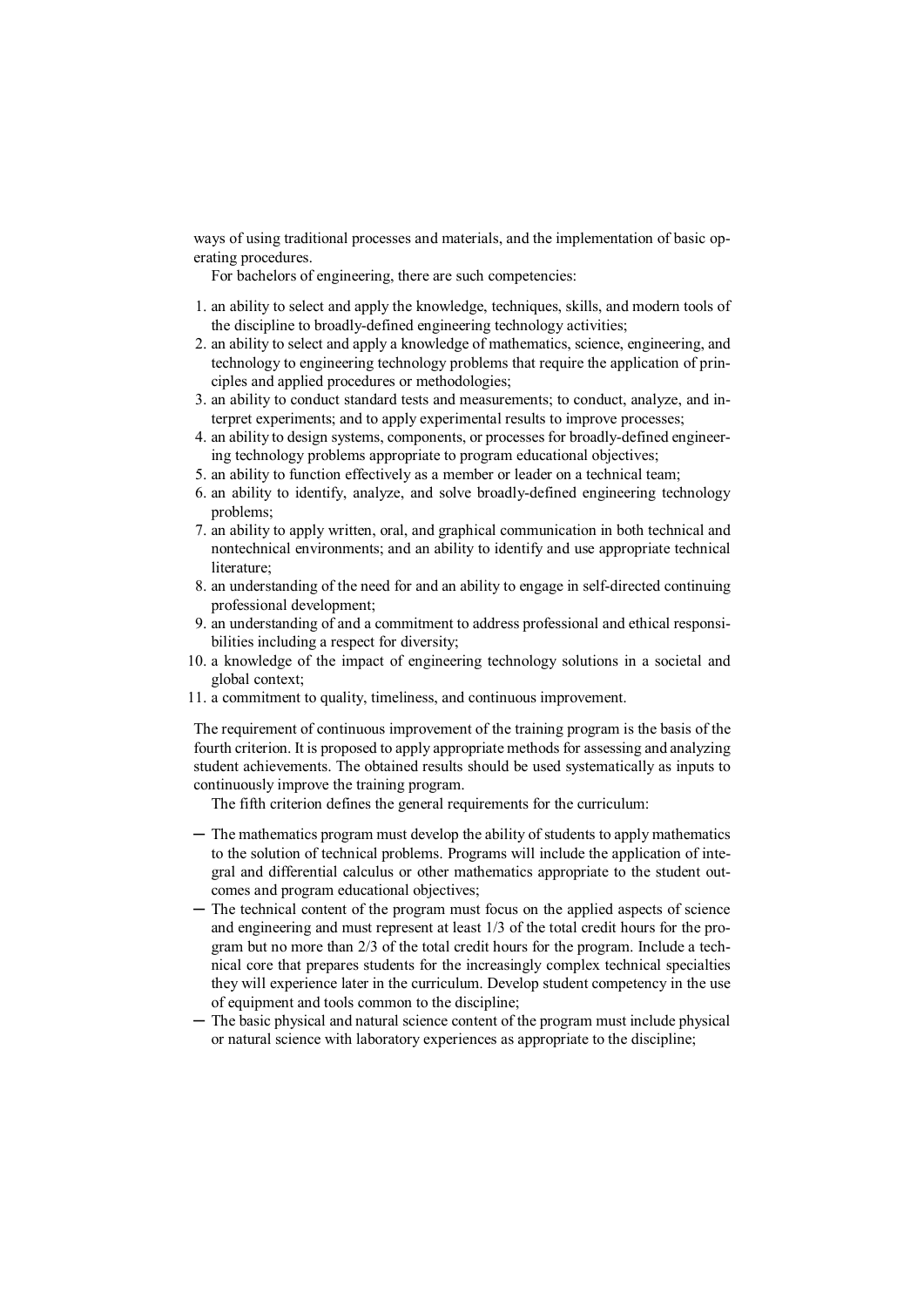ways of using traditional processes and materials, and the implementation of basic operating procedures.

For bachelors of engineering, there are such competencies:

- 1. an ability to select and apply the knowledge, techniques, skills, and modern tools of the discipline to broadly-defined engineering technology activities;
- 2. an ability to select and apply a knowledge of mathematics, science, engineering, and technology to engineering technology problems that require the application of principles and applied procedures or methodologies;
- 3. an ability to conduct standard tests and measurements; to conduct, analyze, and interpret experiments; and to apply experimental results to improve processes;
- 4. an ability to design systems, components, or processes for broadly-defined engineering technology problems appropriate to program educational objectives;
- 5. an ability to function effectively as a member or leader on a technical team;
- 6. an ability to identify, analyze, and solve broadly-defined engineering technology problems;
- 7. an ability to apply written, oral, and graphical communication in both technical and nontechnical environments; and an ability to identify and use appropriate technical literature;
- 8. an understanding of the need for and an ability to engage in self-directed continuing professional development;
- 9. an understanding of and a commitment to address professional and ethical responsibilities including a respect for diversity;
- 10. a knowledge of the impact of engineering technology solutions in a societal and global context;
- 11. a commitment to quality, timeliness, and continuous improvement.

The requirement of continuous improvement of the training program is the basis of the fourth criterion. It is proposed to apply appropriate methods for assessing and analyzing student achievements. The obtained results should be used systematically as inputs to continuously improve the training program.

The fifth criterion defines the general requirements for the curriculum:

- ─ The mathematics program must develop the ability of students to apply mathematics to the solution of technical problems. Programs will include the application of integral and differential calculus or other mathematics appropriate to the student outcomes and program educational objectives;
- ─ The technical content of the program must focus on the applied aspects of science and engineering and must represent at least 1/3 of the total credit hours for the program but no more than 2/3 of the total credit hours for the program. Include a technical core that prepares students for the increasingly complex technical specialties they will experience later in the curriculum. Develop student competency in the use of equipment and tools common to the discipline;
- ─ The basic physical and natural science content of the program must include physical or natural science with laboratory experiences as appropriate to the discipline;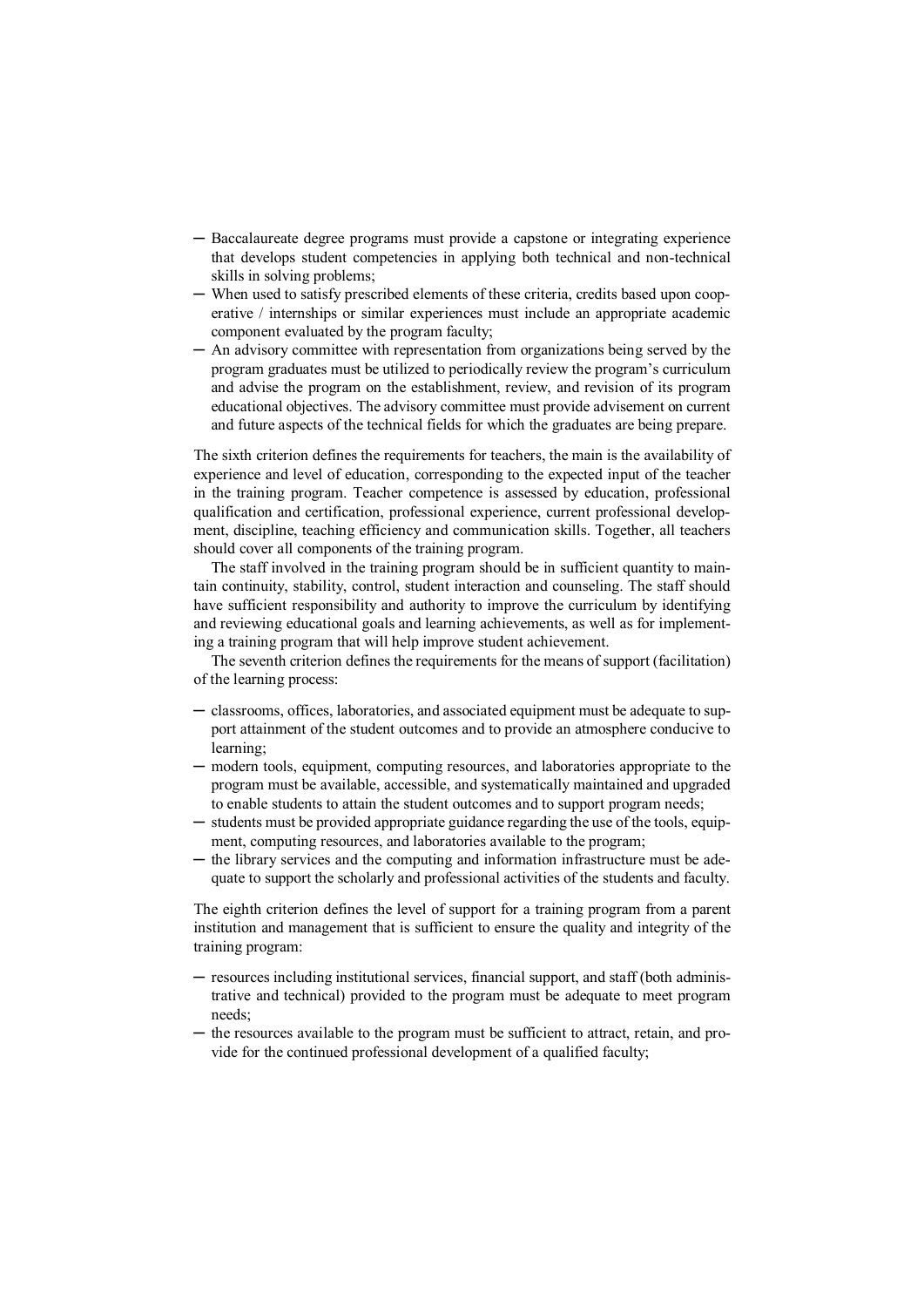- ─ Baccalaureate degree programs must provide a capstone or integrating experience that develops student competencies in applying both technical and non-technical skills in solving problems;
- ─ When used to satisfy prescribed elements of these criteria, credits based upon cooperative / internships or similar experiences must include an appropriate academic component evaluated by the program faculty;
- ─ An advisory committee with representation from organizations being served by the program graduates must be utilized to periodically review the program's curriculum and advise the program on the establishment, review, and revision of its program educational objectives. The advisory committee must provide advisement on current and future aspects of the technical fields for which the graduates are being prepare.

The sixth criterion defines the requirements for teachers, the main is the availability of experience and level of education, corresponding to the expected input of the teacher in the training program. Teacher competence is assessed by education, professional qualification and certification, professional experience, current professional development, discipline, teaching efficiency and communication skills. Together, all teachers should cover all components of the training program.

The staff involved in the training program should be in sufficient quantity to maintain continuity, stability, control, student interaction and counseling. The staff should have sufficient responsibility and authority to improve the curriculum by identifying and reviewing educational goals and learning achievements, as well as for implementing a training program that will help improve student achievement.

The seventh criterion defines the requirements for the means of support (facilitation) of the learning process:

- ─ classrooms, offices, laboratories, and associated equipment must be adequate to support attainment of the student outcomes and to provide an atmosphere conducive to learning;
- ─ modern tools, equipment, computing resources, and laboratories appropriate to the program must be available, accessible, and systematically maintained and upgraded to enable students to attain the student outcomes and to support program needs;
- ─ students must be provided appropriate guidance regarding the use of the tools, equipment, computing resources, and laboratories available to the program;
- ─ the library services and the computing and information infrastructure must be adequate to support the scholarly and professional activities of the students and faculty.

The eighth criterion defines the level of support for a training program from a parent institution and management that is sufficient to ensure the quality and integrity of the training program:

- ─ resources including institutional services, financial support, and staff (both administrative and technical) provided to the program must be adequate to meet program needs;
- ─ the resources available to the program must be sufficient to attract, retain, and provide for the continued professional development of a qualified faculty;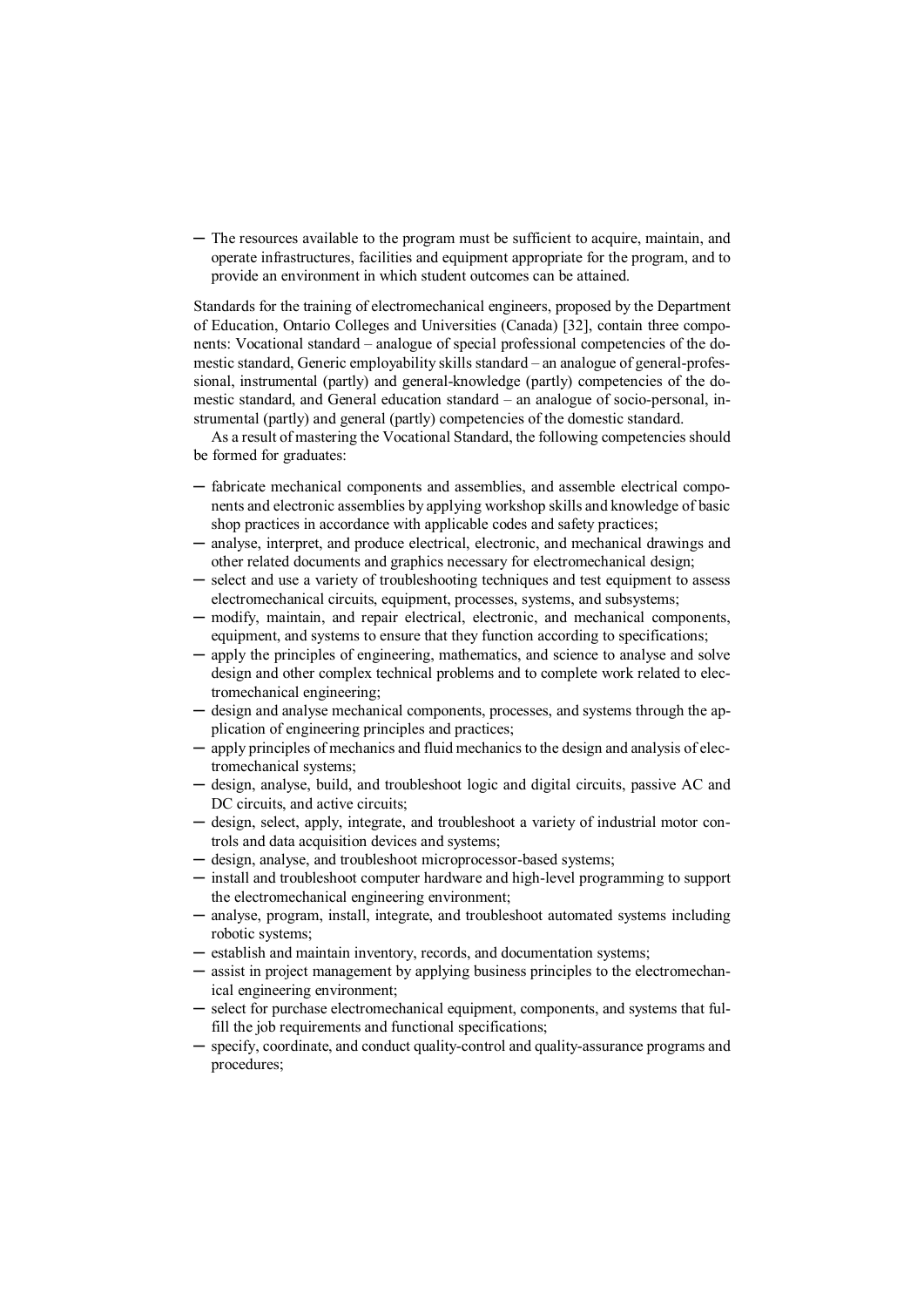─ The resources available to the program must be sufficient to acquire, maintain, and operate infrastructures, facilities and equipment appropriate for the program, and to provide an environment in which student outcomes can be attained.

Standards for the training of electromechanical engineers, proposed by the Department of Education, Ontario Colleges and Universities (Canada) [32], contain three components: Vocational standard – analogue of special professional competencies of the domestic standard, Generic employability skills standard – an analogue of general-professional, instrumental (partly) and general-knowledge (partly) competencies of the domestic standard, and General education standard – an analogue of socio-personal, instrumental (partly) and general (partly) competencies of the domestic standard.

As a result of mastering the Vocational Standard, the following competencies should be formed for graduates:

- ─ fabricate mechanical components and assemblies, and assemble electrical components and electronic assemblies by applying workshop skills and knowledge of basic shop practices in accordance with applicable codes and safety practices;
- ─ analyse, interpret, and produce electrical, electronic, and mechanical drawings and other related documents and graphics necessary for electromechanical design;
- ─ select and use a variety of troubleshooting techniques and test equipment to assess electromechanical circuits, equipment, processes, systems, and subsystems;
- ─ modify, maintain, and repair electrical, electronic, and mechanical components, equipment, and systems to ensure that they function according to specifications;
- ─ apply the principles of engineering, mathematics, and science to analyse and solve design and other complex technical problems and to complete work related to electromechanical engineering;
- ─ design and analyse mechanical components, processes, and systems through the application of engineering principles and practices;
- ─ apply principles of mechanics and fluid mechanics to the design and analysis of electromechanical systems;
- ─ design, analyse, build, and troubleshoot logic and digital circuits, passive AC and DC circuits, and active circuits;
- ─ design, select, apply, integrate, and troubleshoot a variety of industrial motor controls and data acquisition devices and systems;
- ─ design, analyse, and troubleshoot microprocessor-based systems;
- ─ install and troubleshoot computer hardware and high-level programming to support the electromechanical engineering environment;
- ─ analyse, program, install, integrate, and troubleshoot automated systems including robotic systems;
- ─ establish and maintain inventory, records, and documentation systems;
- ─ assist in project management by applying business principles to the electromechanical engineering environment;
- select for purchase electromechanical equipment, components, and systems that fulfill the job requirements and functional specifications;
- specify, coordinate, and conduct quality-control and quality-assurance programs and procedures;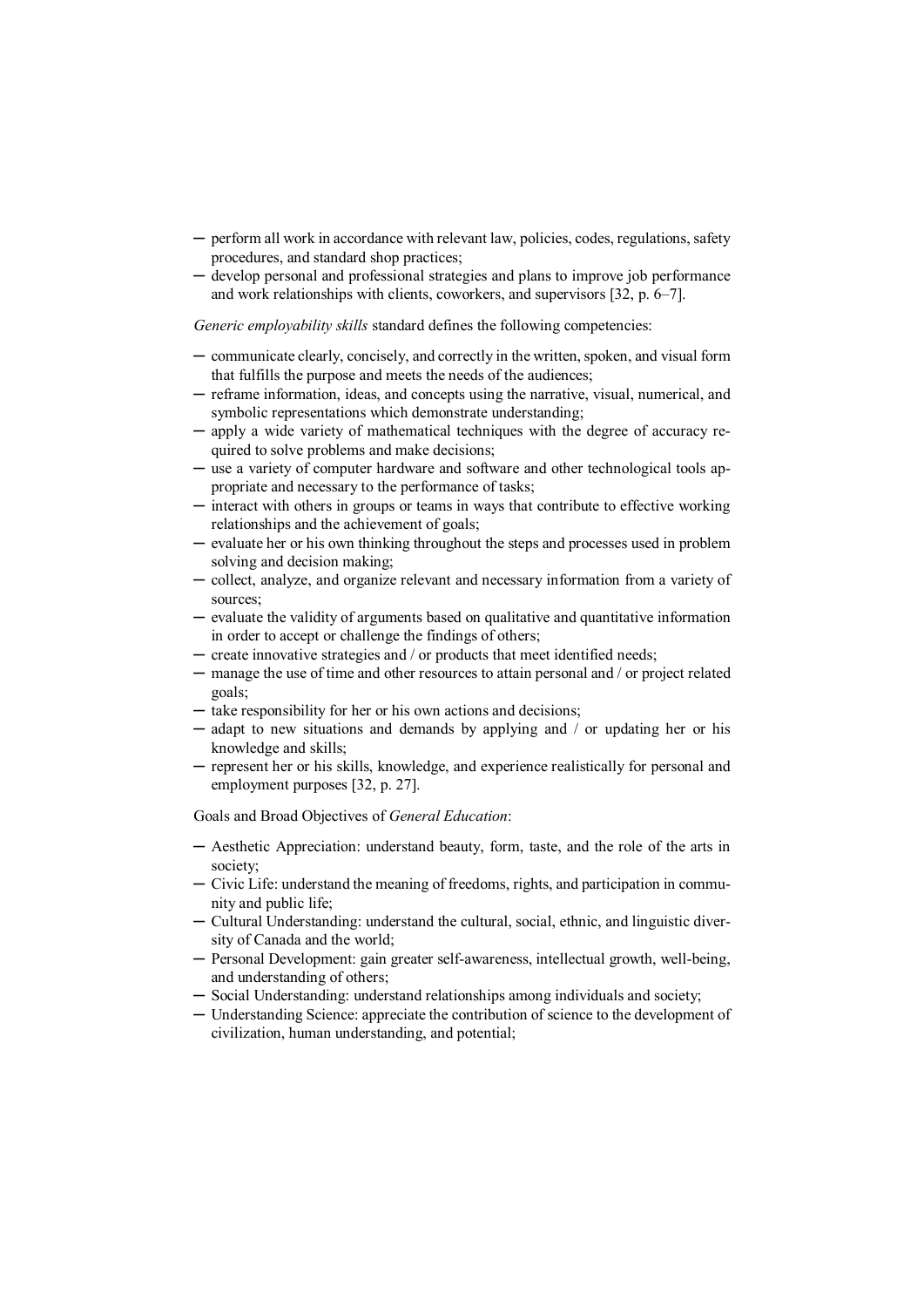- ─ perform all work in accordance with relevant law, policies, codes, regulations, safety procedures, and standard shop practices;
- ─ develop personal and professional strategies and plans to improve job performance and work relationships with clients, coworkers, and supervisors [32, p. 6–7].

*Generic employability skills* standard defines the following competencies:

- ─ communicate clearly, concisely, and correctly in the written, spoken, and visual form that fulfills the purpose and meets the needs of the audiences;
- ─ reframe information, ideas, and concepts using the narrative, visual, numerical, and symbolic representations which demonstrate understanding;
- ─ apply a wide variety of mathematical techniques with the degree of accuracy required to solve problems and make decisions;
- ─ use a variety of computer hardware and software and other technological tools appropriate and necessary to the performance of tasks;
- ─ interact with others in groups or teams in ways that contribute to effective working relationships and the achievement of goals;
- ─ evaluate her or his own thinking throughout the steps and processes used in problem solving and decision making;
- ─ collect, analyze, and organize relevant and necessary information from a variety of sources;
- ─ evaluate the validity of arguments based on qualitative and quantitative information in order to accept or challenge the findings of others;
- ─ create innovative strategies and / or products that meet identified needs;
- ─ manage the use of time and other resources to attain personal and / or project related goals;
- ─ take responsibility for her or his own actions and decisions;
- ─ adapt to new situations and demands by applying and / or updating her or his knowledge and skills;
- ─ represent her or his skills, knowledge, and experience realistically for personal and employment purposes [32, p. 27].

Goals and Broad Objectives of *General Education*:

- ─ Aesthetic Appreciation: understand beauty, form, taste, and the role of the arts in society;
- ─ Civic Life: understand the meaning of freedoms, rights, and participation in community and public life;
- ─ Cultural Understanding: understand the cultural, social, ethnic, and linguistic diversity of Canada and the world;
- ─ Personal Development: gain greater self-awareness, intellectual growth, well-being, and understanding of others;
- ─ Social Understanding: understand relationships among individuals and society;
- ─ Understanding Science: appreciate the contribution of science to the development of civilization, human understanding, and potential;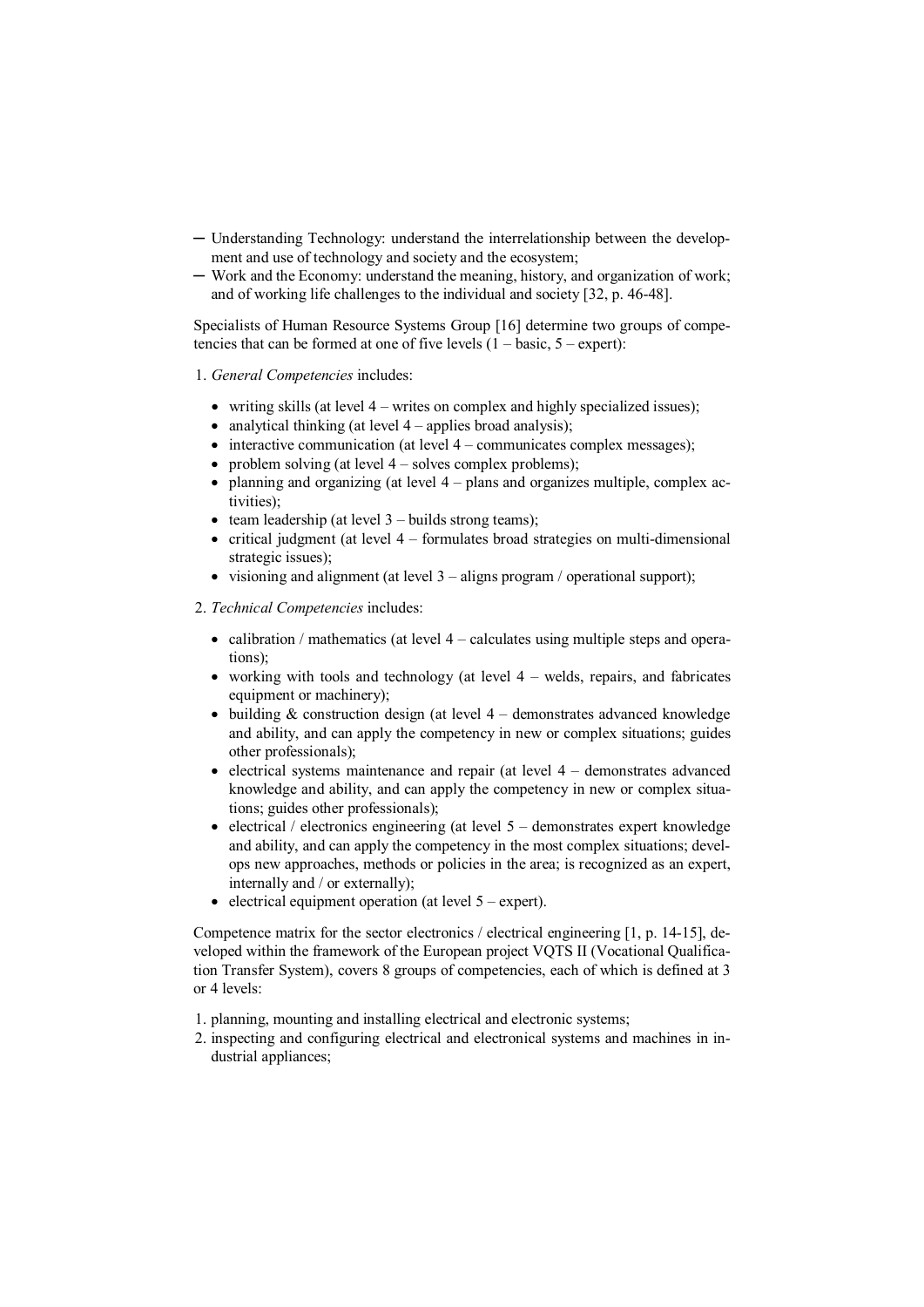- ─ Understanding Technology: understand the interrelationship between the development and use of technology and society and the ecosystem;
- ─ Work and the Economy: understand the meaning, history, and organization of work; and of working life challenges to the individual and society [32, p. 46-48].

Specialists of Human Resource Systems Group [16] determine two groups of competencies that can be formed at one of five levels  $(1 - basic, 5 - expert)$ :

- 1. *General Competencies* includes:
	- writing skills (at level 4 writes on complex and highly specialized issues);
	- analytical thinking (at level  $4$  applies broad analysis);
	- $\bullet$  interactive communication (at level  $4$  communicates complex messages):
	- problem solving (at level  $4$  solves complex problems);
	- $\bullet$  planning and organizing (at level 4 plans and organizes multiple, complex activities);
	- $\bullet$  team leadership (at level 3 builds strong teams);
	- critical judgment (at level  $4$  formulates broad strategies on multi-dimensional strategic issues);
	- visioning and alignment (at level  $3$  aligns program / operational support);
- 2. *Technical Competencies* includes:
	- calibration / mathematics (at level  $4$  calculates using multiple steps and operations);
	- working with tools and technology (at level  $4$  welds, repairs, and fabricates equipment or machinery);
	- building  $&$  construction design (at level 4 demonstrates advanced knowledge and ability, and can apply the competency in new or complex situations; guides other professionals);
	- $\bullet$  electrical systems maintenance and repair (at level 4 demonstrates advanced knowledge and ability, and can apply the competency in new or complex situations; guides other professionals);
	- electrical / electronics engineering (at level  $5$  demonstrates expert knowledge and ability, and can apply the competency in the most complex situations; develops new approaches, methods or policies in the area; is recognized as an expert, internally and / or externally);
	- $\bullet$  electrical equipment operation (at level  $5 -$  expert).

Competence matrix for the sector electronics / electrical engineering [1, p. 14-15], developed within the framework of the European project VQTS II (Vocational Qualification Transfer System), covers 8 groups of competencies, each of which is defined at 3 or 4 levels:

- 1. planning, mounting and installing electrical and electronic systems;
- 2. inspecting and configuring electrical and electronical systems and machines in industrial appliances;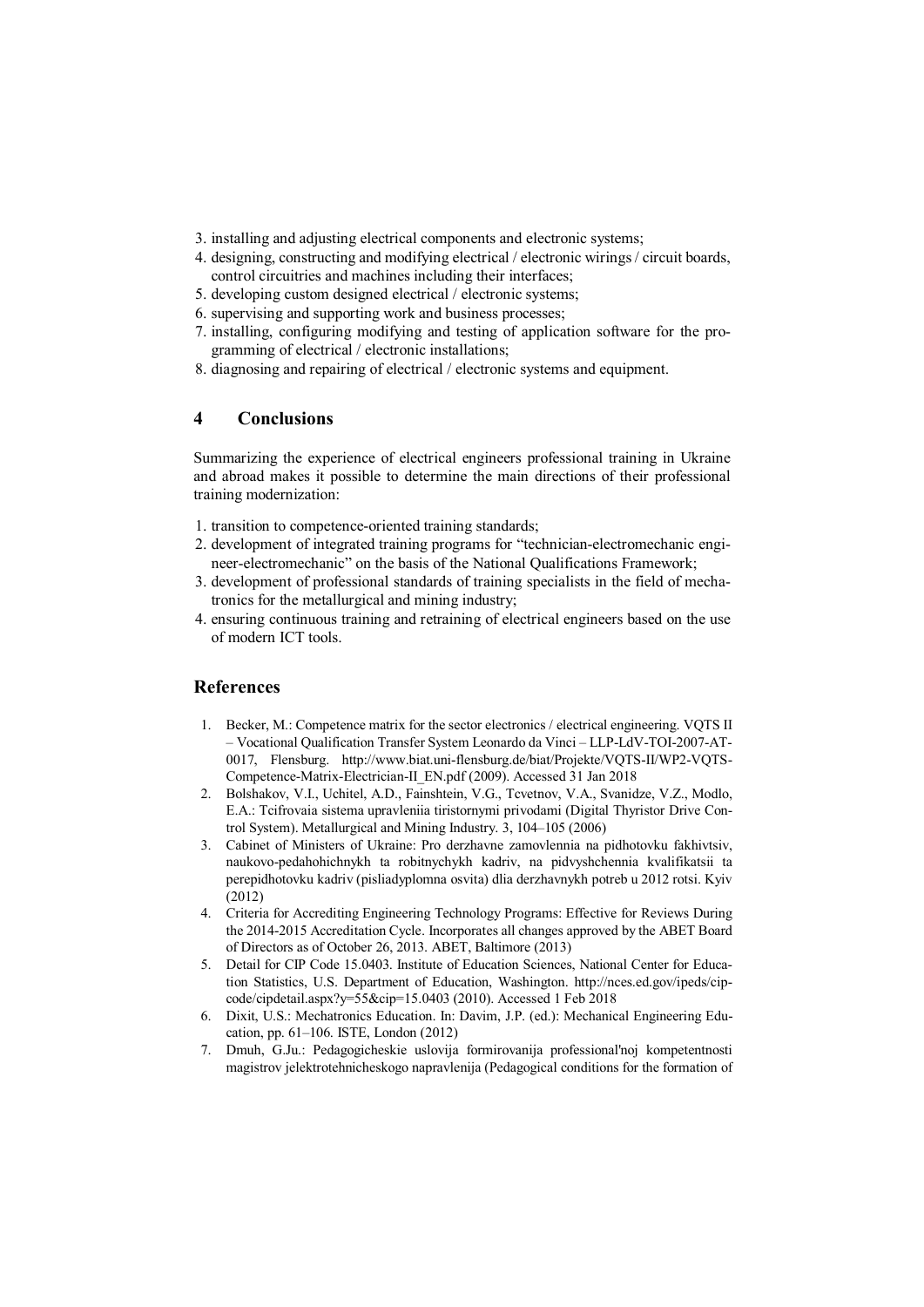- 3. installing and adjusting electrical components and electronic systems;
- 4. designing, constructing and modifying electrical / electronic wirings / circuit boards, control circuitries and machines including their interfaces;
- 5. developing custom designed electrical / electronic systems;
- 6. supervising and supporting work and business processes;
- 7. installing, configuring modifying and testing of application software for the programming of electrical / electronic installations;
- 8. diagnosing and repairing of electrical / electronic systems and equipment.

### 4 Conclusions

Summarizing the experience of electrical engineers professional training in Ukraine and abroad makes it possible to determine the main directions of their professional training modernization:

- 1. transition to competence-oriented training standards;
- 2. development of integrated training programs for "technician-electromechanic engineer-electromechanic" on the basis of the National Qualifications Framework;
- 3. development of professional standards of training specialists in the field of mechatronics for the metallurgical and mining industry;
- 4. ensuring continuous training and retraining of electrical engineers based on the use of modern ICT tools.

### References

- 1. Becker, M.: Competence matrix for the sector electronics / electrical engineering. VQTS II – Vocational Qualification Transfer System Leonardo da Vinci – LLP-LdV-TOI-2007-AT-0017, Flensburg. http://www.biat.uni-flensburg.de/biat/Projekte/VQTS-II/WP2-VQTS-Competence-Matrix-Electrician-II\_EN.pdf (2009). Accessed 31 Jan 2018
- 2. Bolshakov, V.I., Uchitel, A.D., Fainshtein, V.G., Tcvetnov, V.A., Svanidze, V.Z., Modlo, E.A.: Tcifrovaia sistema upravleniia tiristornymi privodami (Digital Thyristor Drive Control System). Metallurgical and Mining Industry. 3, 104–105 (2006)
- 3. Cabinet of Ministers of Ukraine: Pro derzhavne zamovlennia na pidhotovku fakhivtsiv, naukovo-pedahohichnykh ta robitnychykh kadriv, na pidvyshchennia kvalifikatsii ta perepidhotovku kadriv (pisliadyplomna osvita) dlia derzhavnykh potreb u 2012 rotsi. Kyiv (2012)
- 4. Criteria for Accrediting Engineering Technology Programs: Effective for Reviews During the 2014-2015 Accreditation Cycle. Incorporates all changes approved by the ABET Board of Directors as of October 26, 2013. ABET, Baltimore (2013)
- 5. Detail for CIP Code 15.0403. Institute of Education Sciences, National Center for Education Statistics, U.S. Department of Education, Washington. http://nces.ed.gov/ipeds/cipcode/cipdetail.aspx?y=55&cip=15.0403 (2010). Accessed 1 Feb 2018
- 6. Dixit, U.S.: Mechatronics Education. In: Davim, J.P. (ed.): Mechanical Engineering Education, pp. 61–106. ISTE, London (2012)
- 7. Dmuh, G.Ju.: Pedagogicheskie uslovija formirovanija professional'noj kompetentnosti magistrov jelektrotehnicheskogo napravlenija (Pedagogical conditions for the formation of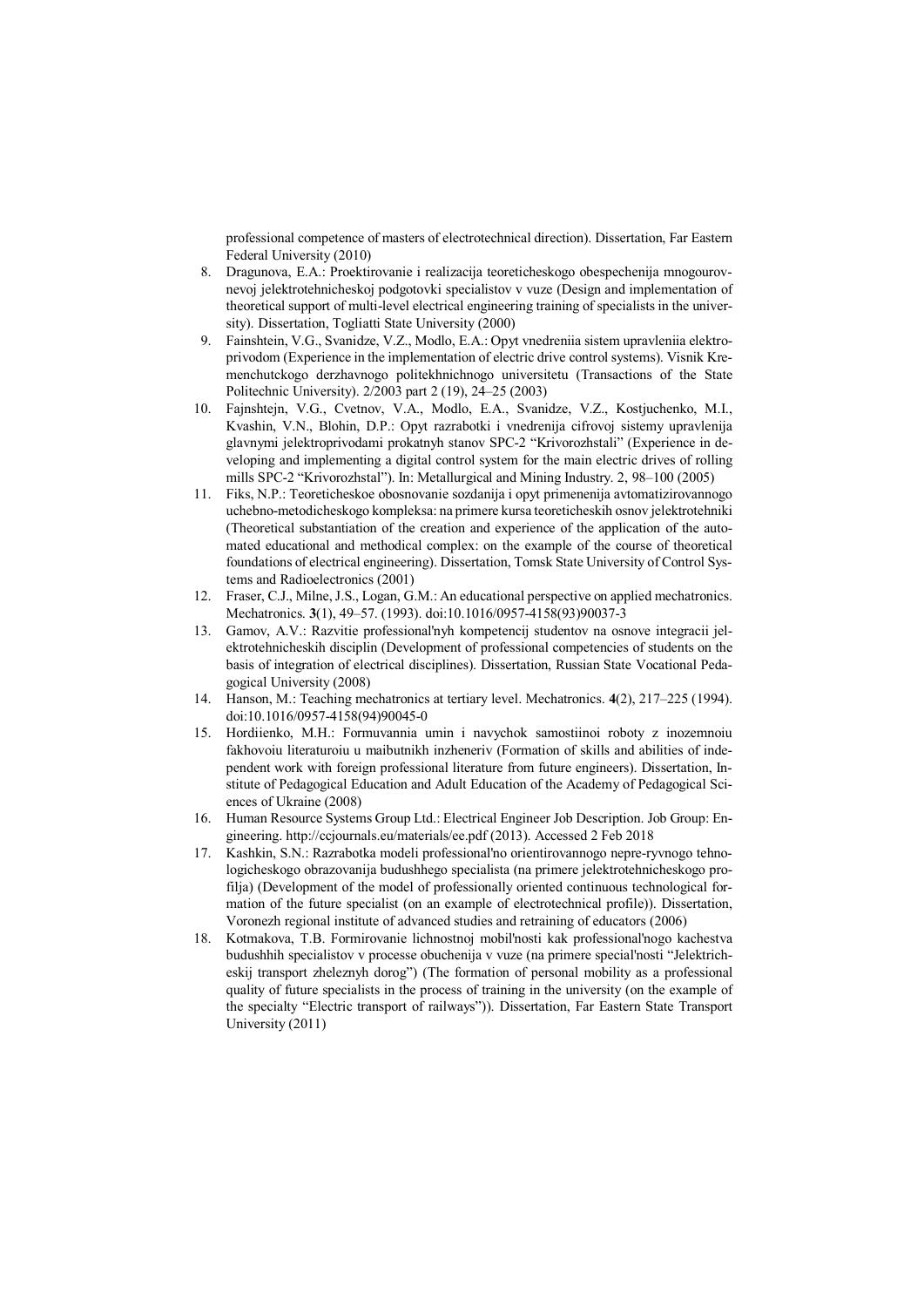professional competence of masters of electrotechnical direction). Dissertation, Far Eastern Federal University (2010)

- 8. Dragunova, E.A.: Proektirovanie i realizacija teoreticheskogo obespechenija mnogourovnevoj jelektrotehnicheskoj podgotovki specialistov v vuze (Design and implementation of theoretical support of multi-level electrical engineering training of specialists in the university). Dissertation, Togliatti State University (2000)
- 9. Fainshtein, V.G., Svanidze, V.Z., Modlo, E.A.: Opyt vnedreniia sistem upravleniia elektroprivodom (Experience in the implementation of electric drive control systems). Vіsnik Kremenchutckogo derzhavnogo polіtekhnіchnogo unіversitetu (Transactions of the State Politechnic University). 2/2003 part 2 (19), 24–25 (2003)
- 10. Fajnshtejn, V.G., Cvetnov, V.A., Modlo, E.A., Svanidze, V.Z., Kostjuchenko, M.I., Kvashin, V.N., Blohin, D.P.: Opyt razrabotki i vnedrenija cifrovoj sistemy upravlenija glavnymi jelektroprivodami prokatnyh stanov SPC-2 "Krivorozhstali" (Experience in developing and implementing a digital control system for the main electric drives of rolling mills SPC-2 "Krivorozhstal"). In: Metallurgical and Mining Industry. 2, 98–100 (2005)
- 11. Fiks, N.P.: Teoreticheskoe obosnovanie sozdanija i opyt primenenija avtomatizirovannogo uchebno-metodicheskogo kompleksa: na primere kursa teoreticheskih osnov jelektrotehniki (Theoretical substantiation of the creation and experience of the application of the automated educational and methodical complex: on the example of the course of theoretical foundations of electrical engineering). Dissertation, Tomsk State University of Control Systems and Radioelectronics (2001)
- 12. Fraser, C.J., Milne, J.S., Logan, G.M.: An educational perspective on applied mechatronics. Mechatronics. 3(1), 49–57. (1993). doi:10.1016/0957-4158(93)90037-3
- 13. Gamov, A.V.: Razvitie professional'nyh kompetencij studentov na osnove integracii jelektrotehnicheskih disciplin (Development of professional competencies of students on the basis of integration of electrical disciplines). Dissertation, Russian State Vocational Pedagogical University (2008)
- 14. Hanson, M.: Teaching mechatronics at tertiary level. Mechatronics. 4(2), 217–225 (1994). doi:10.1016/0957-4158(94)90045-0
- 15. Hordiienko, M.H.: Formuvannia umin i navychok samostiinoi roboty z inozemnoiu fakhovoiu literaturoiu u maibutnikh inzheneriv (Formation of skills and abilities of independent work with foreign professional literature from future engineers). Dissertation, Institute of Pedagogical Education and Adult Education of the Academy of Pedagogical Sciences of Ukraine (2008)
- 16. Human Resource Systems Group Ltd.: Electrical Engineer Job Description. Job Group: Engineering. http://ccjournals.eu/materials/ee.pdf (2013). Accessed 2 Feb 2018
- 17. Kashkin, S.N.: Razrabotka modeli professional'no orientirovannogo nepre-ryvnogo tehnologicheskogo obrazovanija budushhego specialista (na primere jelektrotehnicheskogo profilja) (Development of the model of professionally oriented continuous technological formation of the future specialist (on an example of electrotechnical profile)). Dissertation, Voronezh regional institute of advanced studies and retraining of educators (2006)
- 18. Kotmakova, T.B. Formirovanie lichnostnoj mobil'nosti kak professional'nogo kachestva budushhih specialistov v processe obuchenija v vuze (na primere special'nosti "Jelektricheskij transport zheleznyh dorog") (The formation of personal mobility as a professional quality of future specialists in the process of training in the university (on the example of the specialty "Electric transport of railways")). Dissertation, Far Eastern State Transport University (2011)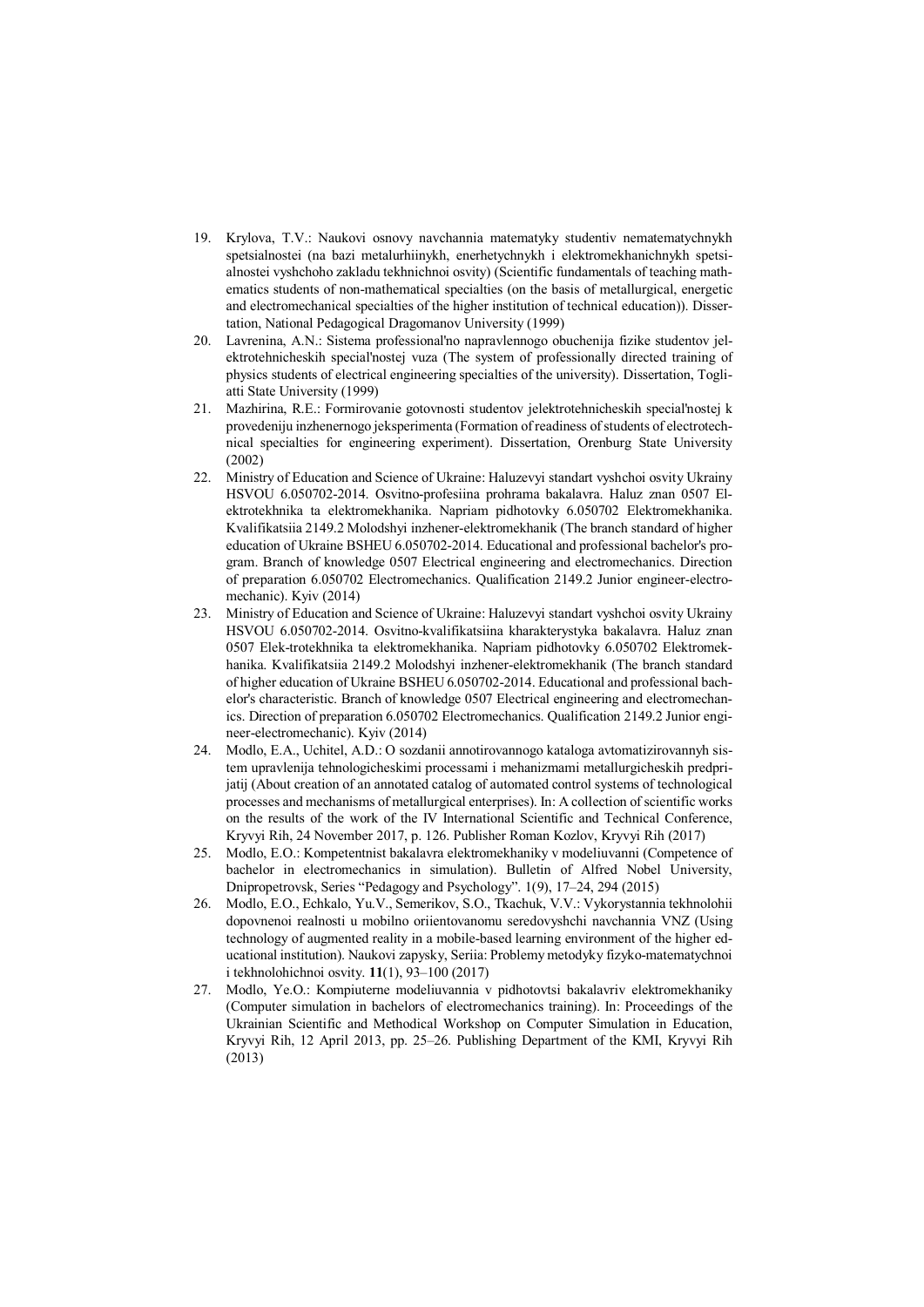- 19. Krylova, T.V.: Naukovi osnovy navchannia matematyky studentiv nematematychnykh spetsialnostei (na bazi metalurhiinykh, enerhetychnykh i elektromekhanichnykh spetsialnostei vyshchoho zakladu tekhnichnoi osvity) (Scientific fundamentals of teaching mathematics students of non-mathematical specialties (on the basis of metallurgical, energetic and electromechanical specialties of the higher institution of technical education)). Dissertation, National Pedagogical Dragomanov University (1999)
- 20. Lavrenina, A.N.: Sistema professional'no napravlennogo obuchenija fizike studentov jelektrotehnicheskih special'nostej vuza (The system of professionally directed training of physics students of electrical engineering specialties of the university). Dissertation, Togliatti State University (1999)
- 21. Mazhirina, R.E.: Formirovanie gotovnosti studentov jelektrotehnicheskih special'nostej k provedeniju inzhenernogo jeksperimenta (Formation of readiness of students of electrotechnical specialties for engineering experiment). Dissertation, Orenburg State University (2002)
- 22. Ministry of Education and Science of Ukraine: Haluzevyi standart vyshchoi osvity Ukrainy HSVOU 6.050702-2014. Osvitno-profesiina prohrama bakalavra. Haluz znan 0507 Elektrotekhnika ta elektromekhanika. Napriam pidhotovky 6.050702 Elektromekhanika. Kvalifikatsiia 2149.2 Molodshyi inzhener-elektromekhanik (The branch standard of higher education of Ukraine BSHEU 6.050702-2014. Educational and professional bachelor's program. Branch of knowledge 0507 Electrical engineering and electromechanics. Direction of preparation 6.050702 Electromechanics. Qualification 2149.2 Junior engineer-electromechanic). Kyiv (2014)
- 23. Ministry of Education and Science of Ukraine: Haluzevyi standart vyshchoi osvity Ukrainy HSVOU 6.050702-2014. Osvitno-kvalifikatsiina kharakterystyka bakalavra. Haluz znan 0507 Elek-trotekhnika ta elektromekhanika. Napriam pidhotovky 6.050702 Elektromekhanika. Kvalifikatsiia 2149.2 Molodshyi inzhener-elektromekhanik (The branch standard of higher education of Ukraine BSHEU 6.050702-2014. Educational and professional bachelor's characteristic. Branch of knowledge 0507 Electrical engineering and electromechanics. Direction of preparation 6.050702 Electromechanics. Qualification 2149.2 Junior engineer-electromechanic). Kyiv (2014)
- 24. Modlo, E.A., Uchitel, A.D.: O sozdanii annotirovannogo kataloga avtomatizirovannyh sistem upravlenija tehnologicheskimi processami i mehanizmami metallurgicheskih predprijatij (About creation of an annotated catalog of automated control systems of technological processes and mechanisms of metallurgical enterprises). In: A collection of scientific works on the results of the work of the IV International Scientific and Technical Conference, Kryvyi Rih, 24 November 2017, p. 126. Publisher Roman Kozlov, Kryvyi Rih (2017)
- 25. Modlo, E.O.: Kompetentnist bakalavra elektromekhaniky v modeliuvanni (Competence of bachelor in electromechanics in simulation). Bulletin of Alfred Nobel University, Dnipropetrovsk, Series "Pedagogy and Psychology". 1(9), 17–24, 294 (2015)
- 26. Modlo, E.O., Echkalo, Yu.V., Semerikov, S.O., Tkachuk, V.V.: Vykorystannia tekhnolohii dopovnenoi realnosti u mobilno oriientovanomu seredovyshchi navchannia VNZ (Using technology of augmented reality in a mobile-based learning environment of the higher educational institution). Naukovi zapysky, Seriia: Problemy metodyky fizyko-matematychnoi i tekhnolohichnoi osvity. 11(1), 93–100 (2017)
- 27. Modlo, Ye.O.: Kompiuterne modeliuvannia v pidhotovtsi bakalavriv elektromekhaniky (Computer simulation in bachelors of electromechanics training). In: Proceedings of the Ukrainian Scientific and Methodical Workshop on Computer Simulation in Education, Kryvyi Rih, 12 April 2013, pp. 25–26. Publishing Department of the KMI, Kryvyi Rih (2013)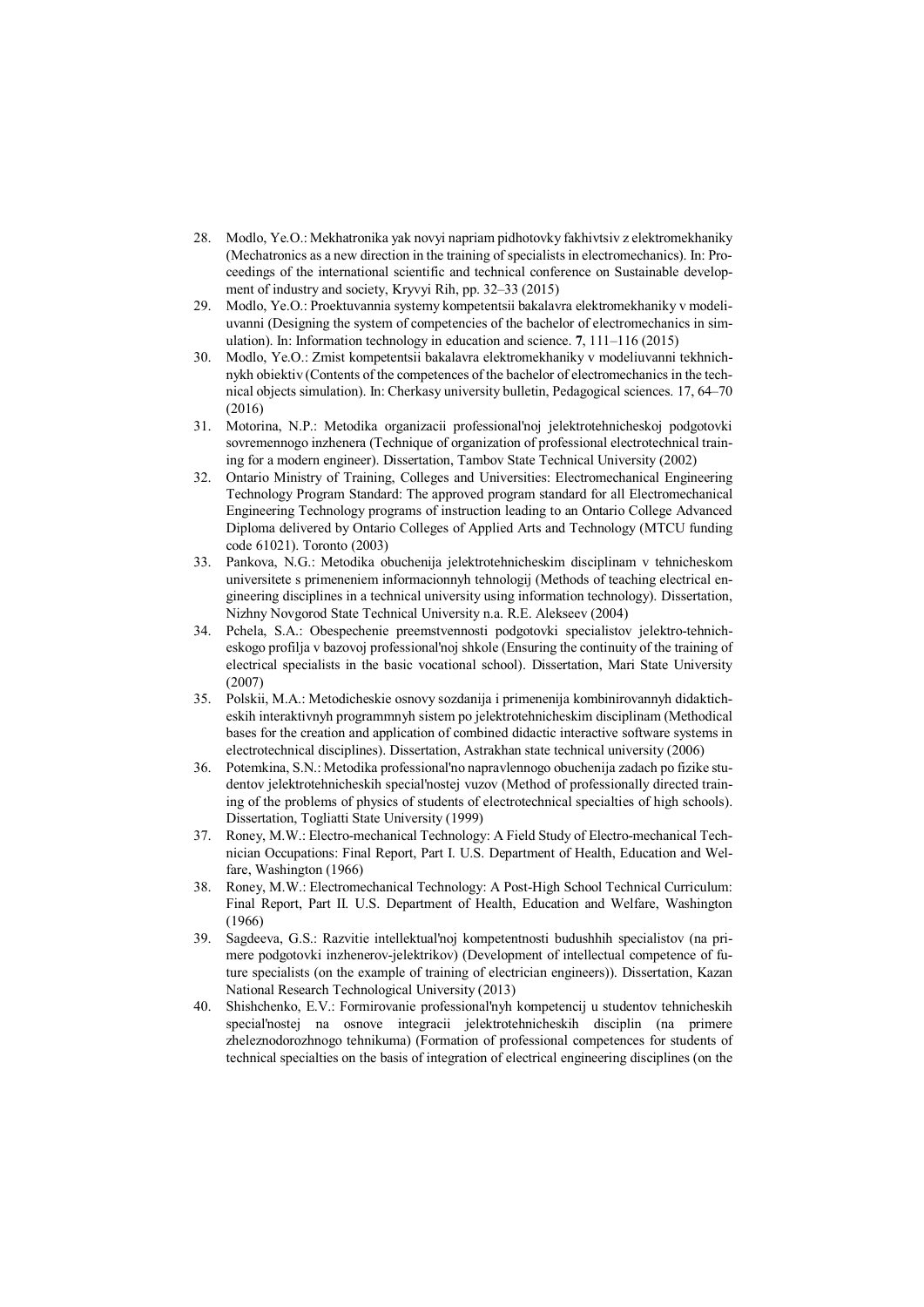- 28. Modlo, Ye.O.: Mekhatronika yak novyi napriam pidhotovky fakhivtsiv z elektromekhaniky (Mechatronics as a new direction in the training of specialists in electromechanics). In: Proceedings of the international scientific and technical conference on Sustainable development of industry and society, Kryvyi Rih, pp. 32–33 (2015)
- 29. Modlo, Ye.O.: Proektuvannia systemy kompetentsii bakalavra elektromekhaniky v modeliuvanni (Designing the system of competencies of the bachelor of electromechanics in simulation). In: Information technology in education and science. 7, 111–116 (2015)
- 30. Modlo, Ye.O.: Zmist kompetentsii bakalavra elektromekhaniky v modeliuvanni tekhnichnykh obiektiv (Contents of the competences of the bachelor of electromechanics in the technical objects simulation). In: Cherkasy university bulletin, Pedagogical sciences. 17, 64–70 (2016)
- 31. Motorina, N.P.: Metodika organizacii professional'noj jelektrotehnicheskoj podgotovki sovremennogo inzhenera (Technique of organization of professional electrotechnical training for a modern engineer). Dissertation, Tambov State Technical University (2002)
- 32. Ontario Ministry of Training, Colleges and Universities: Electromechanical Engineering Technology Program Standard: The approved program standard for all Electromechanical Engineering Technology programs of instruction leading to an Ontario College Advanced Diploma delivered by Ontario Colleges of Applied Arts and Technology (MTCU funding code 61021). Toronto (2003)
- 33. Pankova, N.G.: Metodika obuchenija jelektrotehnicheskim disciplinam v tehnicheskom universitete s primeneniem informacionnyh tehnologij (Methods of teaching electrical engineering disciplines in a technical university using information technology). Dissertation, Nizhny Novgorod State Technical University n.a. R.E. Alekseev (2004)
- 34. Pchela, S.A.: Obespechenie preemstvennosti podgotovki specialistov jelektro-tehnicheskogo profilja v bazovoj professional'noj shkole (Ensuring the continuity of the training of electrical specialists in the basic vocational school). Dissertation, Mari State University (2007)
- 35. Polskii, M.A.: Metodicheskie osnovy sozdanija i primenenija kombinirovannyh didakticheskih interaktivnyh programmnyh sistem po jelektrotehnicheskim disciplinam (Methodical bases for the creation and application of combined didactic interactive software systems in electrotechnical disciplines). Dissertation, Astrakhan state technical university (2006)
- 36. Potemkina, S.N.: Metodika professional'no napravlennogo obuchenija zadach po fizike studentov jelektrotehnicheskih special'nostej vuzov (Method of professionally directed training of the problems of physics of students of electrotechnical specialties of high schools). Dissertation, Togliatti State University (1999)
- 37. Roney, M.W.: Electro-mechanical Technology: A Field Study of Electro-mechanical Technician Occupations: Final Report, Part I. U.S. Department of Health, Education and Welfare, Washington (1966)
- 38. Roney, M.W.: Electromechanical Technology: A Post-High School Technical Curriculum: Final Report, Part II. U.S. Department of Health, Education and Welfare, Washington (1966)
- 39. Sagdeeva, G.S.: Razvitie intellektual'noj kompetentnosti budushhih specialistov (na primere podgotovki inzhenerov-jelektrikov) (Development of intellectual competence of future specialists (on the example of training of electrician engineers)). Dissertation, Kazan National Research Technological University (2013)
- 40. Shishchenko, E.V.: Formirovanie professional'nyh kompetencij u studentov tehnicheskih special'nostej na osnove integracii jelektrotehnicheskih disciplin (na primere zheleznodorozhnogo tehnikuma) (Formation of professional competences for students of technical specialties on the basis of integration of electrical engineering disciplines (on the